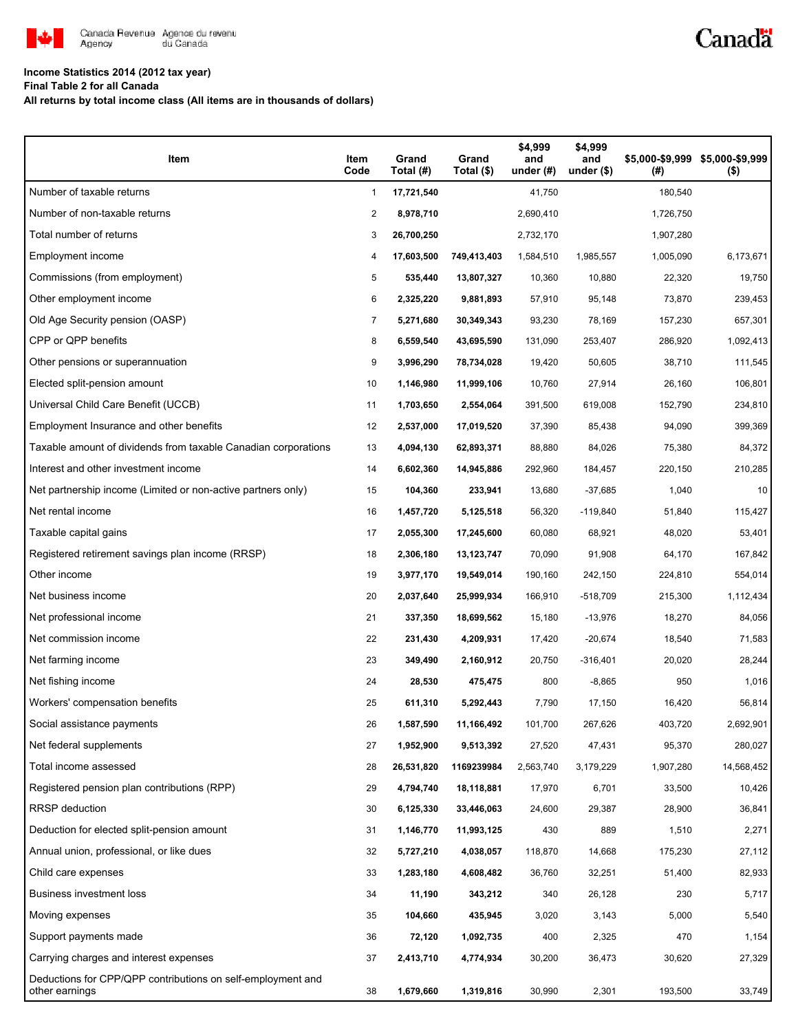

# Canadä

### **Income Statistics 2014 (2012 tax year)**

**Final Table 2 for all Canada**

**All returns by total income class (All items are in thousands of dollars)**

| Item                                                                          | Item<br>Code | Grand<br>Total (#) | Grand<br>Total (\$) | \$4,999<br>and<br>under $(\#)$ | \$4,999<br>and<br>under $(\$)$ | (# )      | \$5,000-\$9,999 \$5,000-\$9,999<br>$($ \$) |
|-------------------------------------------------------------------------------|--------------|--------------------|---------------------|--------------------------------|--------------------------------|-----------|--------------------------------------------|
| Number of taxable returns                                                     | 1            | 17,721,540         |                     | 41,750                         |                                | 180,540   |                                            |
| Number of non-taxable returns                                                 | 2            | 8,978,710          |                     | 2,690,410                      |                                | 1,726,750 |                                            |
| Total number of returns                                                       | 3            | 26,700,250         |                     | 2,732,170                      |                                | 1,907,280 |                                            |
| Employment income                                                             | 4            | 17,603,500         | 749,413,403         | 1,584,510                      | 1,985,557                      | 1,005,090 | 6,173,671                                  |
| Commissions (from employment)                                                 | 5            | 535,440            | 13,807,327          | 10,360                         | 10,880                         | 22,320    | 19,750                                     |
| Other employment income                                                       | 6            | 2,325,220          | 9,881,893           | 57,910                         | 95,148                         | 73,870    | 239,453                                    |
| Old Age Security pension (OASP)                                               | 7            | 5,271,680          | 30,349,343          | 93,230                         | 78,169                         | 157,230   | 657,301                                    |
| CPP or QPP benefits                                                           | 8            | 6,559,540          | 43,695,590          | 131,090                        | 253,407                        | 286,920   | 1,092,413                                  |
| Other pensions or superannuation                                              | 9            | 3,996,290          | 78,734,028          | 19,420                         | 50,605                         | 38,710    | 111,545                                    |
| Elected split-pension amount                                                  | 10           | 1,146,980          | 11,999,106          | 10,760                         | 27,914                         | 26,160    | 106,801                                    |
| Universal Child Care Benefit (UCCB)                                           | 11           | 1,703,650          | 2,554,064           | 391,500                        | 619,008                        | 152,790   | 234,810                                    |
| Employment Insurance and other benefits                                       | 12           | 2,537,000          | 17,019,520          | 37,390                         | 85,438                         | 94,090    | 399,369                                    |
| Taxable amount of dividends from taxable Canadian corporations                | 13           | 4,094,130          | 62,893,371          | 88,880                         | 84,026                         | 75,380    | 84,372                                     |
| Interest and other investment income                                          | 14           | 6,602,360          | 14,945,886          | 292,960                        | 184,457                        | 220,150   | 210,285                                    |
| Net partnership income (Limited or non-active partners only)                  | 15           | 104,360            | 233,941             | 13,680                         | $-37,685$                      | 1,040     | 10                                         |
| Net rental income                                                             | 16           | 1,457,720          | 5,125,518           | 56,320                         | $-119,840$                     | 51,840    | 115,427                                    |
| Taxable capital gains                                                         | 17           | 2,055,300          | 17,245,600          | 60,080                         | 68,921                         | 48,020    | 53,401                                     |
| Registered retirement savings plan income (RRSP)                              | 18           | 2,306,180          | 13,123,747          | 70,090                         | 91,908                         | 64,170    | 167,842                                    |
| Other income                                                                  | 19           | 3,977,170          | 19,549,014          | 190,160                        | 242,150                        | 224,810   | 554,014                                    |
| Net business income                                                           | 20           | 2,037,640          | 25,999,934          | 166,910                        | $-518,709$                     | 215,300   | 1,112,434                                  |
| Net professional income                                                       | 21           | 337,350            | 18,699,562          | 15,180                         | $-13,976$                      | 18,270    | 84,056                                     |
| Net commission income                                                         | 22           | 231,430            | 4,209,931           | 17,420                         | $-20,674$                      | 18,540    | 71,583                                     |
| Net farming income                                                            | 23           | 349,490            | 2,160,912           | 20,750                         | $-316,401$                     | 20,020    | 28,244                                     |
| Net fishing income                                                            | 24           | 28,530             | 475,475             | 800                            | $-8,865$                       | 950       | 1,016                                      |
| Workers' compensation benefits                                                | 25           | 611,310            | 5,292,443           | 7,790                          | 17,150                         | 16,420    | 56,814                                     |
| Social assistance payments                                                    | 26           | 1,587,590          | 11,166,492          | 101,700                        | 267,626                        | 403,720   | 2,692,901                                  |
| Net federal supplements                                                       | 27           | 1,952,900          | 9,513,392           | 27,520                         | 47,431                         | 95,370    | 280,027                                    |
| Total income assessed                                                         | 28           | 26,531,820         | 1169239984          | 2,563,740                      | 3,179,229                      | 1,907,280 | 14,568,452                                 |
| Registered pension plan contributions (RPP)                                   | 29           | 4,794,740          | 18,118,881          | 17,970                         | 6,701                          | 33,500    | 10,426                                     |
| <b>RRSP</b> deduction                                                         | 30           | 6,125,330          | 33,446,063          | 24,600                         | 29,387                         | 28,900    | 36,841                                     |
| Deduction for elected split-pension amount                                    | 31           | 1,146,770          | 11,993,125          | 430                            | 889                            | 1,510     | 2,271                                      |
| Annual union, professional, or like dues                                      | 32           | 5,727,210          | 4,038,057           | 118,870                        | 14,668                         | 175,230   | 27,112                                     |
| Child care expenses                                                           | 33           | 1,283,180          | 4,608,482           | 36,760                         | 32,251                         | 51,400    | 82,933                                     |
| Business investment loss                                                      | 34           | 11,190             | 343,212             | 340                            | 26,128                         | 230       | 5,717                                      |
| Moving expenses                                                               | 35           | 104,660            | 435,945             | 3,020                          | 3,143                          | 5,000     | 5,540                                      |
| Support payments made                                                         | 36           | 72,120             | 1,092,735           | 400                            | 2,325                          | 470       | 1,154                                      |
| Carrying charges and interest expenses                                        | 37           | 2,413,710          | 4,774,934           | 30,200                         | 36,473                         | 30,620    | 27,329                                     |
| Deductions for CPP/QPP contributions on self-employment and<br>other earnings | 38           | 1,679,660          | 1,319,816           | 30,990                         | 2,301                          | 193,500   | 33,749                                     |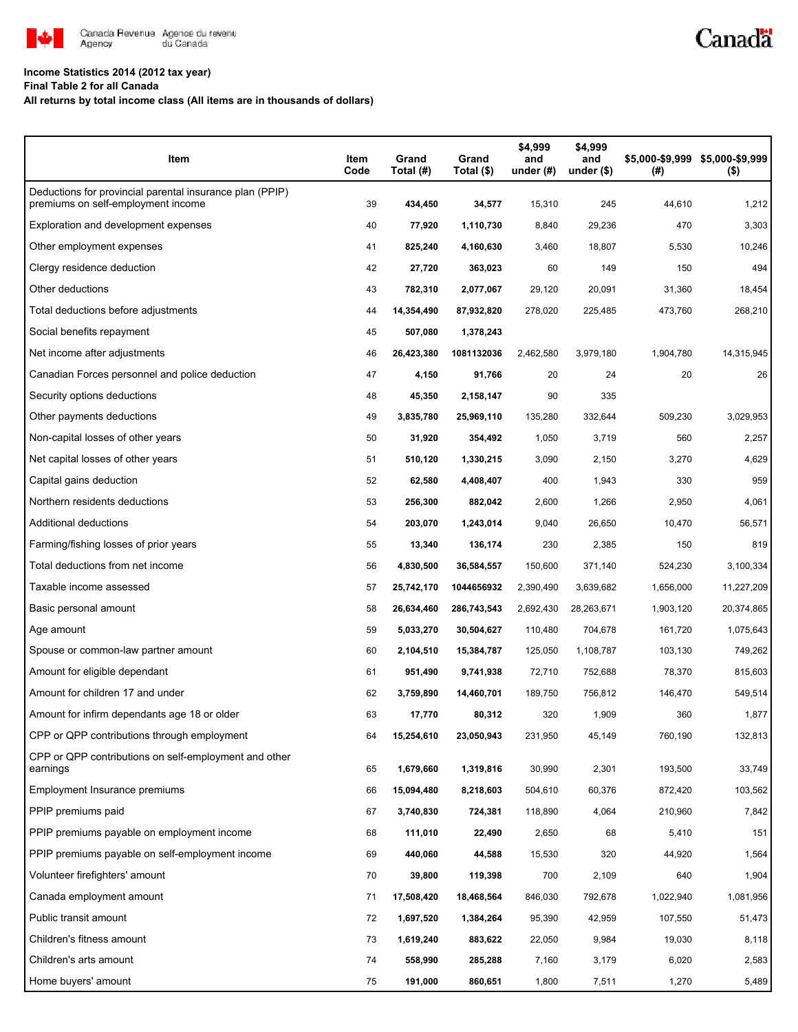

## **Income Statistics 2014 (2012 tax year)**

**Final Table 2 for all Canada**

#### **All returns by total income class (All items are in thousands of dollars)**

| Item                                                                                           | Item<br>Code | Grand<br>Total (#) | Grand<br>Total (\$) | \$4,999<br>and<br>under $(H)$ | \$4,999<br>and<br>under $($)$ | \$5,000-\$9,999<br>(#) | \$5,000-\$9,999<br>$($ \$) |
|------------------------------------------------------------------------------------------------|--------------|--------------------|---------------------|-------------------------------|-------------------------------|------------------------|----------------------------|
| Deductions for provincial parental insurance plan (PPIP)<br>premiums on self-employment income | 39           | 434,450            | 34,577              | 15,310                        | 245                           | 44,610                 | 1,212                      |
| Exploration and development expenses                                                           | 40           | 77,920             | 1,110,730           | 8,840                         | 29,236                        | 470                    | 3,303                      |
| Other employment expenses                                                                      | 41           | 825,240            | 4,160,630           | 3,460                         | 18,807                        | 5,530                  | 10,246                     |
| Clergy residence deduction                                                                     | 42           | 27,720             | 363,023             | 60                            | 149                           | 150                    | 494                        |
| Other deductions                                                                               | 43           | 782,310            | 2,077,067           | 29,120                        | 20,091                        | 31,360                 | 18,454                     |
| Total deductions before adjustments                                                            | 44           | 14,354,490         | 87,932,820          | 278,020                       | 225,485                       | 473,760                | 268,210                    |
| Social benefits repayment                                                                      | 45           | 507,080            | 1,378,243           |                               |                               |                        |                            |
| Net income after adjustments                                                                   | 46           | 26,423,380         | 1081132036          | 2,462,580                     | 3,979,180                     | 1,904,780              | 14,315,945                 |
| Canadian Forces personnel and police deduction                                                 | 47           | 4,150              | 91,766              | 20                            | 24                            | 20                     | 26                         |
| Security options deductions                                                                    | 48           | 45,350             | 2,158,147           | 90                            | 335                           |                        |                            |
| Other payments deductions                                                                      | 49           | 3,835,780          | 25,969,110          | 135,280                       | 332,644                       | 509,230                | 3,029,953                  |
| Non-capital losses of other years                                                              | 50           | 31,920             | 354,492             | 1,050                         | 3,719                         | 560                    | 2,257                      |
| Net capital losses of other years                                                              | 51           | 510,120            | 1,330,215           | 3,090                         | 2,150                         | 3,270                  | 4,629                      |
| Capital gains deduction                                                                        | 52           | 62,580             | 4,408,407           | 400                           | 1,943                         | 330                    | 959                        |
| Northern residents deductions                                                                  | 53           | 256,300            | 882,042             | 2,600                         | 1,266                         | 2,950                  | 4,061                      |
| Additional deductions                                                                          | 54           | 203,070            | 1,243,014           | 9,040                         | 26,650                        | 10,470                 | 56,571                     |
| Farming/fishing losses of prior years                                                          | 55           | 13,340             | 136,174             | 230                           | 2,385                         | 150                    | 819                        |
| Total deductions from net income                                                               | 56           | 4,830,500          | 36,584,557          | 150,600                       | 371,140                       | 524,230                | 3,100,334                  |
| Taxable income assessed                                                                        | 57           | 25,742,170         | 1044656932          | 2,390,490                     | 3,639,682                     | 1,656,000              | 11,227,209                 |
| Basic personal amount                                                                          | 58           | 26,634,460         | 286,743,543         | 2,692,430                     | 28,263,671                    | 1,903,120              | 20,374,865                 |
| Age amount                                                                                     | 59           | 5,033,270          | 30,504,627          | 110,480                       | 704,678                       | 161,720                | 1,075,643                  |
| Spouse or common-law partner amount                                                            | 60           | 2,104,510          | 15,384,787          | 125,050                       | 1,108,787                     | 103,130                | 749,262                    |
| Amount for eligible dependant                                                                  | 61           | 951,490            | 9,741,938           | 72,710                        | 752,688                       | 78,370                 | 815,603                    |
| Amount for children 17 and under                                                               | 62           | 3,759,890          | 14,460,701          | 189,750                       | 756,812                       | 146,470                | 549,514                    |
| Amount for infirm dependants age 18 or older                                                   | 63           | 17,770             | 80,312              | 320                           | 1,909                         | 360                    | 1,877                      |
| CPP or QPP contributions through employment                                                    | 64           | 15,254,610         | 23,050,943          | 231,950                       | 45,149                        | 760,190                | 132,813                    |
| CPP or QPP contributions on self-employment and other<br>earnings                              | 65           | 1,679,660          | 1,319,816           | 30,990                        | 2,301                         | 193,500                | 33,749                     |
| Employment Insurance premiums                                                                  | 66           | 15,094,480         | 8,218,603           | 504,610                       | 60,376                        | 872,420                | 103,562                    |
| PPIP premiums paid                                                                             | 67           | 3,740,830          | 724,381             | 118,890                       | 4,064                         | 210,960                | 7,842                      |
| PPIP premiums payable on employment income                                                     | 68           | 111,010            | 22,490              | 2,650                         | 68                            | 5,410                  | 151                        |
| PPIP premiums payable on self-employment income                                                | 69           | 440,060            | 44,588              | 15,530                        | 320                           | 44,920                 | 1,564                      |
| Volunteer firefighters' amount                                                                 | 70           | 39,800             | 119,398             | 700                           | 2,109                         | 640                    | 1,904                      |
| Canada employment amount                                                                       | 71           | 17,508,420         | 18,468,564          | 846,030                       | 792,678                       | 1,022,940              | 1,081,956                  |
| Public transit amount                                                                          | 72           | 1,697,520          | 1,384,264           | 95,390                        | 42,959                        | 107,550                | 51,473                     |
| Children's fitness amount                                                                      | 73           | 1,619,240          | 883,622             | 22,050                        | 9,984                         | 19,030                 | 8,118                      |
| Children's arts amount                                                                         | 74           | 558,990            | 285,288             | 7,160                         | 3,179                         | 6,020                  | 2,583                      |
| Home buyers' amount                                                                            | 75           | 191,000            | 860,651             | 1,800                         | 7,511                         | 1,270                  | 5,489                      |

Canadä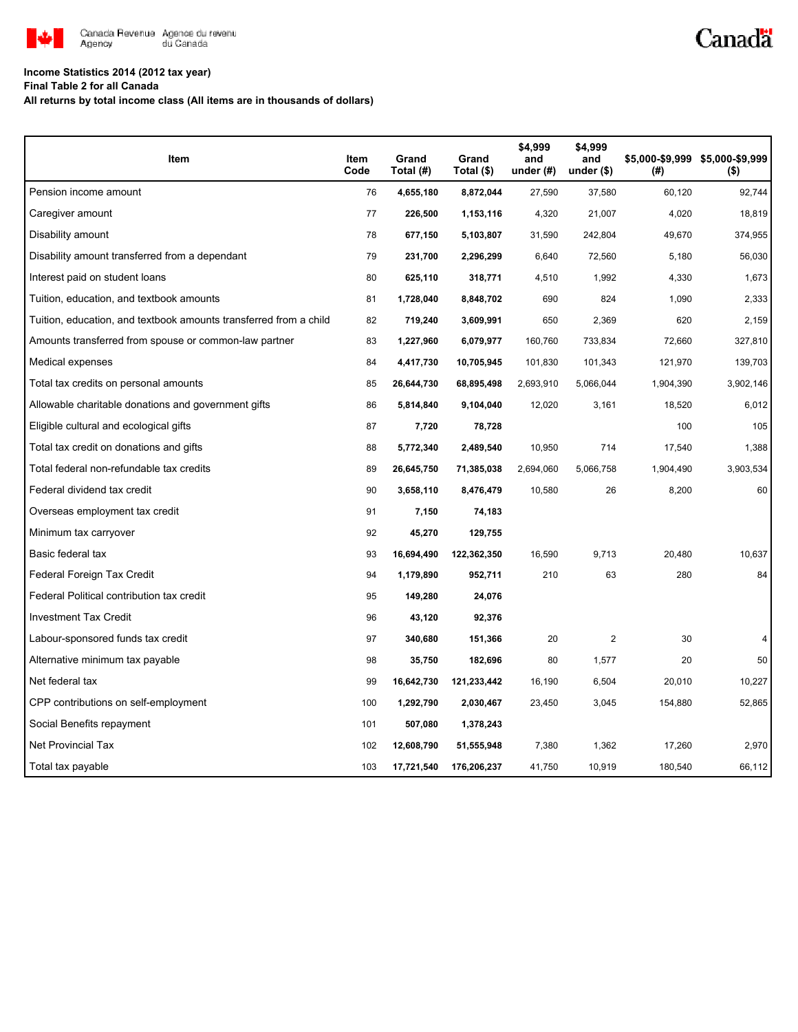

# Canadä

### **Income Statistics 2014 (2012 tax year)**

**Final Table 2 for all Canada**

**All returns by total income class (All items are in thousands of dollars)**

| Item                                                              | Item<br>Code | Grand<br>Total (#) | Grand<br>Total (\$) | \$4,999<br>and<br>under $(\#)$ | \$4,999<br>and<br>under $($)$ | (#)       | \$5,000-\$9,999 \$5,000-\$9,999<br>$($ \$) |
|-------------------------------------------------------------------|--------------|--------------------|---------------------|--------------------------------|-------------------------------|-----------|--------------------------------------------|
| Pension income amount                                             | 76           | 4,655,180          | 8,872,044           | 27,590                         | 37,580                        | 60,120    | 92,744                                     |
| Caregiver amount                                                  | 77           | 226,500            | 1,153,116           | 4,320                          | 21,007                        | 4,020     | 18,819                                     |
| Disability amount                                                 | 78           | 677,150            | 5,103,807           | 31,590                         | 242,804                       | 49,670    | 374,955                                    |
| Disability amount transferred from a dependant                    | 79           | 231,700            | 2,296,299           | 6,640                          | 72,560                        | 5,180     | 56,030                                     |
| Interest paid on student loans                                    | 80           | 625,110            | 318,771             | 4,510                          | 1,992                         | 4,330     | 1,673                                      |
| Tuition, education, and textbook amounts                          | 81           | 1,728,040          | 8,848,702           | 690                            | 824                           | 1,090     | 2,333                                      |
| Tuition, education, and textbook amounts transferred from a child | 82           | 719,240            | 3,609,991           | 650                            | 2,369                         | 620       | 2,159                                      |
| Amounts transferred from spouse or common-law partner             | 83           | 1,227,960          | 6,079,977           | 160,760                        | 733,834                       | 72,660    | 327,810                                    |
| Medical expenses                                                  | 84           | 4,417,730          | 10,705,945          | 101,830                        | 101,343                       | 121,970   | 139,703                                    |
| Total tax credits on personal amounts                             | 85           | 26,644,730         | 68,895,498          | 2,693,910                      | 5,066,044                     | 1,904,390 | 3,902,146                                  |
| Allowable charitable donations and government gifts               | 86           | 5,814,840          | 9,104,040           | 12,020                         | 3,161                         | 18,520    | 6,012                                      |
| Eligible cultural and ecological gifts                            | 87           | 7,720              | 78,728              |                                |                               | 100       | 105                                        |
| Total tax credit on donations and gifts                           | 88           | 5,772,340          | 2,489,540           | 10,950                         | 714                           | 17,540    | 1,388                                      |
| Total federal non-refundable tax credits                          | 89           | 26,645,750         | 71,385,038          | 2,694,060                      | 5,066,758                     | 1,904,490 | 3,903,534                                  |
| Federal dividend tax credit                                       | 90           | 3,658,110          | 8,476,479           | 10,580                         | 26                            | 8,200     | 60                                         |
| Overseas employment tax credit                                    | 91           | 7,150              | 74,183              |                                |                               |           |                                            |
| Minimum tax carryover                                             | 92           | 45,270             | 129,755             |                                |                               |           |                                            |
| Basic federal tax                                                 | 93           | 16,694,490         | 122,362,350         | 16,590                         | 9,713                         | 20,480    | 10,637                                     |
| Federal Foreign Tax Credit                                        | 94           | 1,179,890          | 952,711             | 210                            | 63                            | 280       | 84                                         |
| Federal Political contribution tax credit                         | 95           | 149,280            | 24,076              |                                |                               |           |                                            |
| <b>Investment Tax Credit</b>                                      | 96           | 43,120             | 92,376              |                                |                               |           |                                            |
| Labour-sponsored funds tax credit                                 | 97           | 340,680            | 151,366             | 20                             | 2                             | 30        | 4                                          |
| Alternative minimum tax payable                                   | 98           | 35,750             | 182,696             | 80                             | 1,577                         | 20        | 50                                         |
| Net federal tax                                                   | 99           | 16,642,730         | 121,233,442         | 16,190                         | 6,504                         | 20,010    | 10,227                                     |
| CPP contributions on self-employment                              | 100          | 1,292,790          | 2,030,467           | 23,450                         | 3,045                         | 154,880   | 52,865                                     |
| Social Benefits repayment                                         | 101          | 507,080            | 1,378,243           |                                |                               |           |                                            |
| <b>Net Provincial Tax</b>                                         | 102          | 12,608,790         | 51,555,948          | 7,380                          | 1,362                         | 17,260    | 2,970                                      |
| Total tax payable                                                 | 103          | 17,721,540         | 176,206,237         | 41,750                         | 10,919                        | 180,540   | 66,112                                     |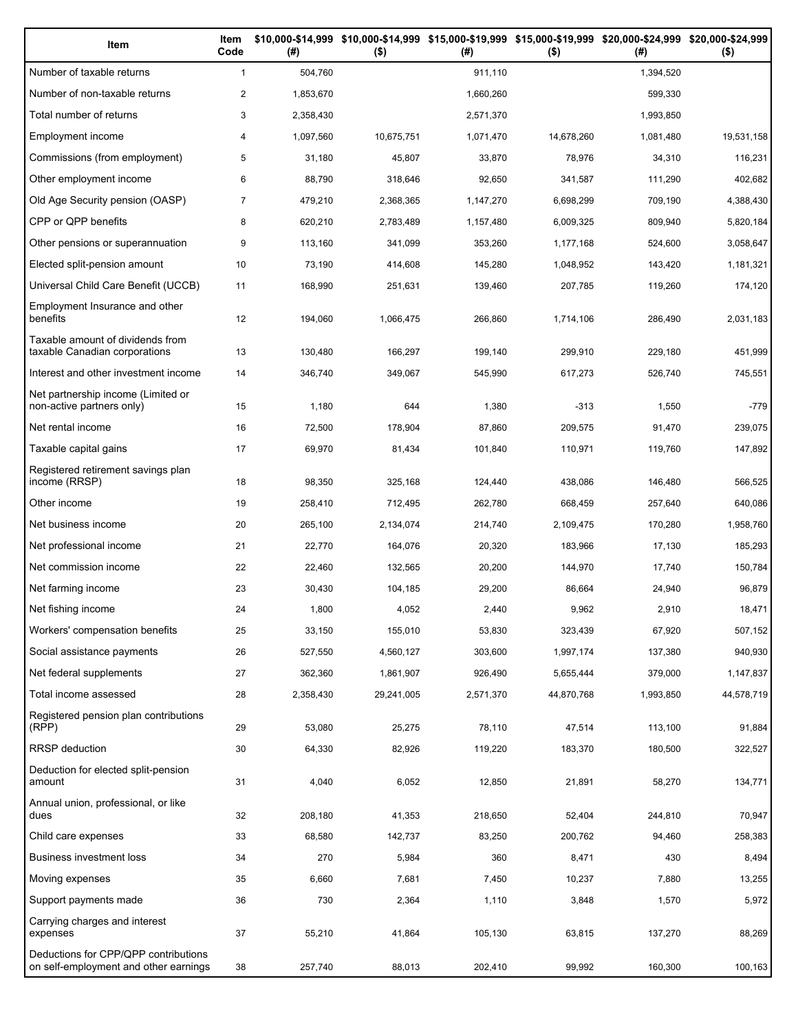| Item                                                                          | Item<br>Code   | (# )      | \$10,000-\$14,999 \$10,000-\$14,999 \$15,000-\$19,999 \$15,000-\$19,999 \$20,000-\$24,999 \$20,000-\$24,999<br>$($ \$) | (# )      | $($ \$)    | (# )      | $($ \$)    |
|-------------------------------------------------------------------------------|----------------|-----------|------------------------------------------------------------------------------------------------------------------------|-----------|------------|-----------|------------|
| Number of taxable returns                                                     | $\mathbf{1}$   | 504,760   |                                                                                                                        | 911,110   |            | 1,394,520 |            |
| Number of non-taxable returns                                                 | $\overline{c}$ | 1,853,670 |                                                                                                                        | 1,660,260 |            | 599,330   |            |
| Total number of returns                                                       | 3              | 2,358,430 |                                                                                                                        | 2,571,370 |            | 1,993,850 |            |
| Employment income                                                             | 4              | 1,097,560 | 10,675,751                                                                                                             | 1,071,470 | 14,678,260 | 1,081,480 | 19,531,158 |
| Commissions (from employment)                                                 | 5              | 31,180    | 45,807                                                                                                                 | 33,870    | 78,976     | 34,310    | 116,231    |
| Other employment income                                                       | 6              | 88,790    | 318,646                                                                                                                | 92,650    | 341,587    | 111,290   | 402,682    |
| Old Age Security pension (OASP)                                               | 7              | 479,210   | 2,368,365                                                                                                              | 1,147,270 | 6,698,299  | 709,190   | 4,388,430  |
| CPP or QPP benefits                                                           | 8              | 620,210   | 2,783,489                                                                                                              | 1,157,480 | 6,009,325  | 809,940   | 5,820,184  |
| Other pensions or superannuation                                              | 9              | 113,160   | 341,099                                                                                                                | 353,260   | 1,177,168  | 524,600   | 3,058,647  |
| Elected split-pension amount                                                  | 10             | 73,190    | 414,608                                                                                                                | 145,280   | 1,048,952  | 143,420   | 1,181,321  |
| Universal Child Care Benefit (UCCB)                                           | 11             | 168,990   | 251,631                                                                                                                | 139,460   | 207,785    | 119,260   | 174,120    |
| Employment Insurance and other<br>benefits                                    | 12             | 194,060   | 1,066,475                                                                                                              | 266,860   | 1,714,106  | 286,490   | 2,031,183  |
| Taxable amount of dividends from<br>taxable Canadian corporations             | 13             | 130,480   | 166,297                                                                                                                | 199,140   | 299,910    | 229,180   | 451,999    |
| Interest and other investment income                                          | 14             | 346,740   | 349,067                                                                                                                | 545,990   | 617,273    | 526,740   | 745,551    |
| Net partnership income (Limited or<br>non-active partners only)               | 15             | 1,180     | 644                                                                                                                    | 1,380     | $-313$     | 1,550     | $-779$     |
| Net rental income                                                             | 16             | 72,500    | 178,904                                                                                                                | 87,860    | 209,575    | 91,470    | 239,075    |
| Taxable capital gains                                                         | 17             | 69,970    | 81,434                                                                                                                 | 101,840   | 110,971    | 119,760   | 147,892    |
| Registered retirement savings plan<br>income (RRSP)                           | 18             | 98,350    | 325,168                                                                                                                | 124,440   | 438,086    | 146,480   | 566,525    |
| Other income                                                                  | 19             | 258,410   | 712,495                                                                                                                | 262,780   | 668,459    | 257,640   | 640,086    |
| Net business income                                                           | 20             | 265,100   | 2,134,074                                                                                                              | 214,740   | 2,109,475  | 170,280   | 1,958,760  |
| Net professional income                                                       | 21             | 22,770    | 164,076                                                                                                                | 20,320    | 183,966    | 17,130    | 185,293    |
| Net commission income                                                         | 22             | 22,460    | 132,565                                                                                                                | 20,200    | 144,970    | 17,740    | 150,784    |
| Net farming income                                                            | 23             | 30,430    | 104,185                                                                                                                | 29,200    | 86,664     | 24,940    | 96,879     |
| Net fishing income                                                            | 24             | 1,800     | 4,052                                                                                                                  | 2,440     | 9,962      | 2,910     | 18,471     |
| Workers' compensation benefits                                                | 25             | 33,150    | 155,010                                                                                                                | 53,830    | 323,439    | 67,920    | 507,152    |
| Social assistance payments                                                    | 26             | 527,550   | 4,560,127                                                                                                              | 303,600   | 1,997,174  | 137,380   | 940,930    |
| Net federal supplements                                                       | 27             | 362,360   | 1,861,907                                                                                                              | 926,490   | 5,655,444  | 379,000   | 1,147,837  |
| Total income assessed                                                         | 28             | 2,358,430 | 29,241,005                                                                                                             | 2,571,370 | 44,870,768 | 1,993,850 | 44,578,719 |
| Registered pension plan contributions<br>(RPP)                                | 29             | 53,080    | 25,275                                                                                                                 | 78,110    | 47,514     | 113,100   | 91,884     |
| <b>RRSP</b> deduction                                                         | 30             | 64,330    | 82,926                                                                                                                 | 119,220   | 183,370    | 180,500   | 322,527    |
| Deduction for elected split-pension<br>amount                                 | 31             | 4,040     | 6,052                                                                                                                  | 12,850    | 21,891     | 58,270    | 134,771    |
| Annual union, professional, or like<br>dues                                   | 32             | 208,180   | 41,353                                                                                                                 | 218,650   | 52,404     | 244,810   | 70,947     |
| Child care expenses                                                           | 33             | 68,580    | 142,737                                                                                                                | 83,250    | 200,762    | 94,460    | 258,383    |
| Business investment loss                                                      | 34             | 270       | 5,984                                                                                                                  | 360       | 8,471      | 430       | 8,494      |
| Moving expenses                                                               | 35             | 6,660     | 7,681                                                                                                                  | 7,450     | 10,237     | 7,880     | 13,255     |
| Support payments made                                                         | 36             | 730       | 2,364                                                                                                                  | 1,110     | 3,848      | 1,570     | 5,972      |
| Carrying charges and interest<br>expenses                                     | 37             | 55,210    | 41,864                                                                                                                 | 105,130   | 63,815     | 137,270   | 88,269     |
| Deductions for CPP/QPP contributions<br>on self-employment and other earnings | 38             | 257,740   | 88,013                                                                                                                 | 202,410   | 99,992     | 160,300   | 100,163    |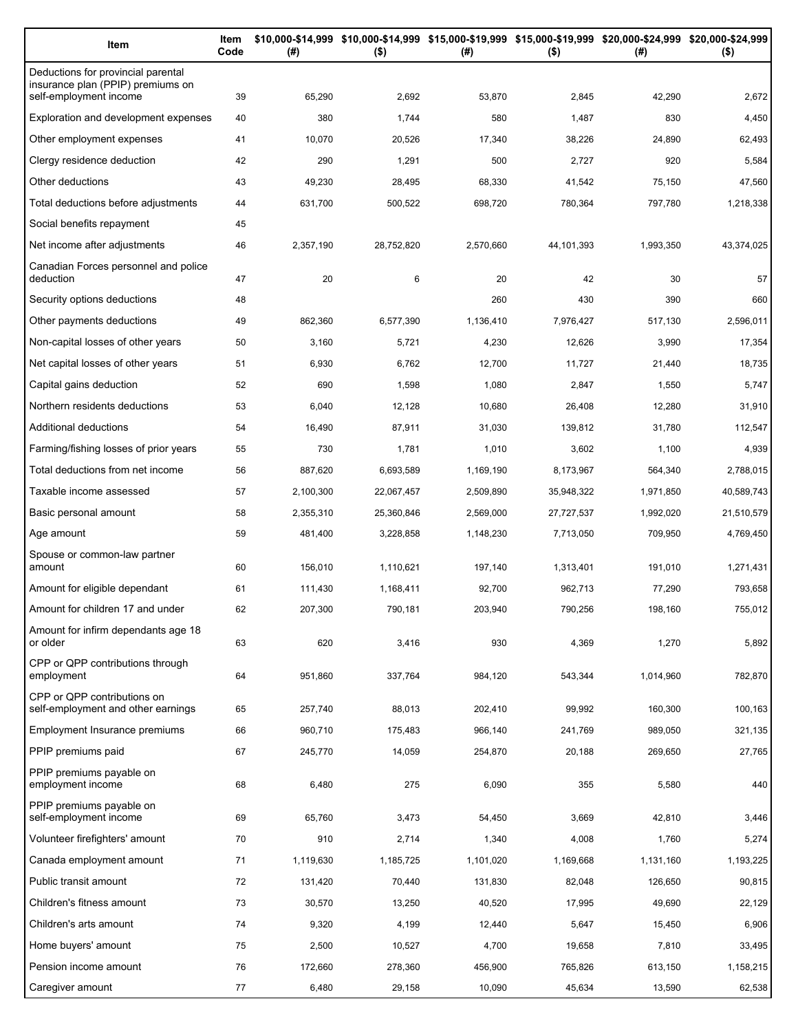| Item                                                                    | Item<br>Code | (#)           | $($ \$)    | \$10,000-\$14,999 \$10,000-\$14,999 \$15,000-\$19,999 \$15,000-\$19,999 \$20,000-\$24,999 \$20,000-\$24,999<br>(#) | $($ \$)    | (# )      | $($ \$)        |
|-------------------------------------------------------------------------|--------------|---------------|------------|--------------------------------------------------------------------------------------------------------------------|------------|-----------|----------------|
| Deductions for provincial parental<br>insurance plan (PPIP) premiums on |              |               | 2,692      |                                                                                                                    | 2,845      | 42,290    |                |
| self-employment income<br>Exploration and development expenses          | 39<br>40     | 65,290<br>380 | 1,744      | 53,870<br>580                                                                                                      | 1,487      | 830       | 2,672<br>4,450 |
| Other employment expenses                                               | 41           | 10,070        | 20,526     | 17,340                                                                                                             | 38,226     | 24,890    | 62,493         |
| Clergy residence deduction                                              | 42           | 290           | 1,291      | 500                                                                                                                | 2,727      | 920       | 5,584          |
| Other deductions                                                        | 43           | 49,230        | 28,495     | 68,330                                                                                                             | 41,542     | 75,150    | 47,560         |
| Total deductions before adjustments                                     | 44           | 631,700       | 500,522    | 698,720                                                                                                            | 780,364    | 797,780   | 1,218,338      |
| Social benefits repayment                                               | 45           |               |            |                                                                                                                    |            |           |                |
| Net income after adjustments                                            | 46           | 2,357,190     | 28,752,820 | 2,570,660                                                                                                          | 44,101,393 | 1,993,350 | 43,374,025     |
| Canadian Forces personnel and police                                    |              |               |            |                                                                                                                    |            |           |                |
| deduction                                                               | 47           | 20            | 6          | 20                                                                                                                 | 42         | 30        | 57             |
| Security options deductions                                             | 48           |               |            | 260                                                                                                                | 430        | 390       | 660            |
| Other payments deductions                                               | 49           | 862,360       | 6,577,390  | 1,136,410                                                                                                          | 7,976,427  | 517,130   | 2,596,011      |
| Non-capital losses of other years                                       | 50           | 3,160         | 5,721      | 4,230                                                                                                              | 12,626     | 3,990     | 17,354         |
| Net capital losses of other years                                       | 51           | 6,930         | 6,762      | 12,700                                                                                                             | 11,727     | 21,440    | 18,735         |
| Capital gains deduction                                                 | 52           | 690           | 1,598      | 1,080                                                                                                              | 2,847      | 1,550     | 5,747          |
| Northern residents deductions                                           | 53           | 6,040         | 12,128     | 10,680                                                                                                             | 26,408     | 12,280    | 31,910         |
| Additional deductions                                                   | 54           | 16,490        | 87,911     | 31,030                                                                                                             | 139,812    | 31,780    | 112,547        |
| Farming/fishing losses of prior years                                   | 55           | 730           | 1,781      | 1,010                                                                                                              | 3,602      | 1,100     | 4,939          |
| Total deductions from net income                                        | 56           | 887,620       | 6,693,589  | 1,169,190                                                                                                          | 8,173,967  | 564,340   | 2,788,015      |
| Taxable income assessed                                                 | 57           | 2,100,300     | 22,067,457 | 2,509,890                                                                                                          | 35,948,322 | 1,971,850 | 40,589,743     |
| Basic personal amount                                                   | 58           | 2,355,310     | 25,360,846 | 2,569,000                                                                                                          | 27,727,537 | 1,992,020 | 21,510,579     |
| Age amount                                                              | 59           | 481,400       | 3,228,858  | 1,148,230                                                                                                          | 7,713,050  | 709,950   | 4,769,450      |
| Spouse or common-law partner<br>amount                                  | 60           | 156,010       | 1,110,621  | 197,140                                                                                                            | 1,313,401  | 191,010   | 1,271,431      |
| Amount for eligible dependant                                           | 61           | 111,430       | 1,168,411  | 92,700                                                                                                             | 962,713    | 77,290    | 793,658        |
| Amount for children 17 and under                                        | 62           | 207,300       | 790,181    | 203,940                                                                                                            | 790,256    | 198,160   | 755,012        |
| Amount for infirm dependants age 18<br>or older                         | 63           | 620           | 3,416      | 930                                                                                                                | 4,369      | 1,270     | 5,892          |
| CPP or QPP contributions through                                        |              |               |            |                                                                                                                    |            |           |                |
| employment<br>CPP or QPP contributions on                               | 64           | 951,860       | 337,764    | 984,120                                                                                                            | 543,344    | 1,014,960 | 782,870        |
| self-employment and other earnings                                      | 65           | 257,740       | 88,013     | 202,410                                                                                                            | 99,992     | 160,300   | 100,163        |
| Employment Insurance premiums                                           | 66           | 960,710       | 175,483    | 966.140                                                                                                            | 241,769    | 989,050   | 321,135        |
| PPIP premiums paid                                                      | 67           | 245,770       | 14,059     | 254,870                                                                                                            | 20,188     | 269,650   | 27,765         |
| PPIP premiums payable on<br>employment income                           | 68           | 6,480         | 275        | 6,090                                                                                                              | 355        | 5,580     | 440            |
| PPIP premiums payable on<br>self-employment income                      | 69           | 65,760        | 3,473      | 54,450                                                                                                             | 3,669      | 42,810    | 3,446          |
| Volunteer firefighters' amount                                          | 70           | 910           | 2,714      | 1,340                                                                                                              | 4,008      | 1,760     | 5,274          |
| Canada employment amount                                                | 71           | 1,119,630     | 1,185,725  | 1,101,020                                                                                                          | 1,169,668  | 1,131,160 | 1,193,225      |
| Public transit amount                                                   | 72           | 131,420       | 70,440     | 131,830                                                                                                            | 82,048     | 126,650   | 90,815         |
| Children's fitness amount                                               | 73           | 30,570        | 13,250     | 40,520                                                                                                             | 17,995     | 49,690    | 22,129         |
| Children's arts amount                                                  | 74           | 9,320         | 4,199      | 12,440                                                                                                             | 5,647      | 15,450    | 6,906          |
| Home buyers' amount                                                     | 75           | 2,500         | 10,527     | 4,700                                                                                                              | 19,658     | 7,810     | 33,495         |
| Pension income amount                                                   | 76           | 172,660       | 278,360    | 456,900                                                                                                            | 765,826    | 613,150   | 1,158,215      |
| Caregiver amount                                                        | 77           | 6,480         | 29,158     | 10,090                                                                                                             | 45,634     | 13,590    | 62,538         |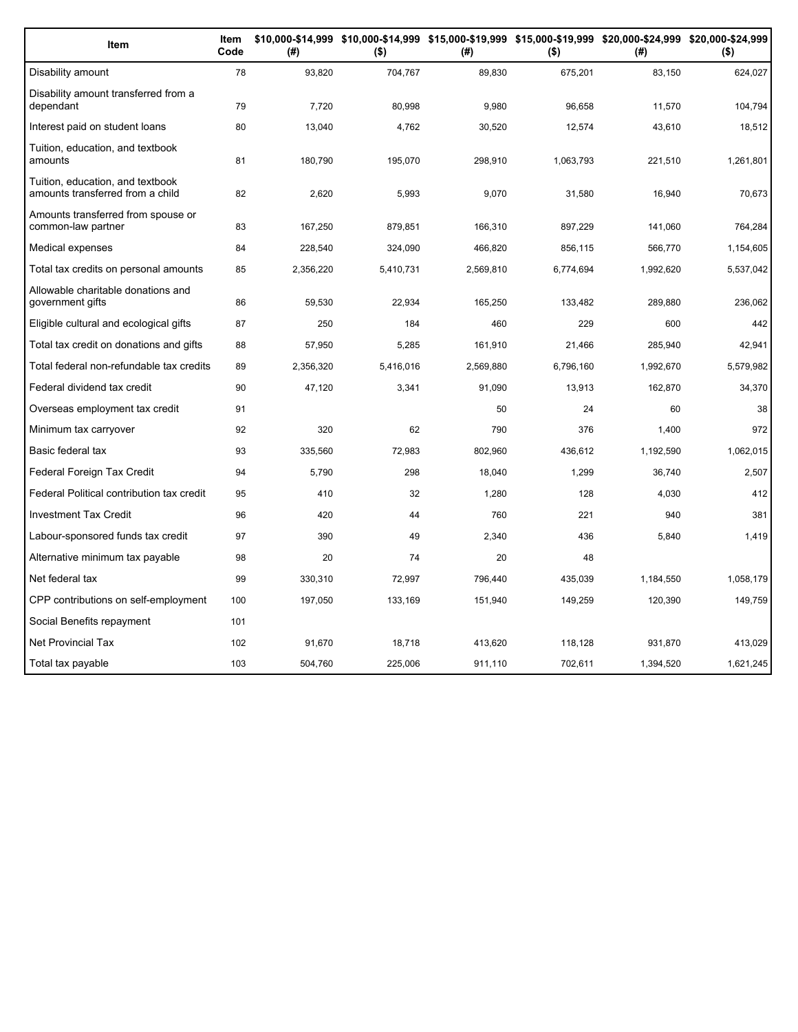| Item                                                                 | Item<br>Code | (#)       | $($ \$)   | (#)       | $($ \$)   | \$10,000-\$14,999 \$10,000-\$14,999 \$15,000-\$19,999 \$15,000-\$19,999 \$20,000-\$24,999 \$20,000-\$24,999<br>(# ) | $($ \$)   |
|----------------------------------------------------------------------|--------------|-----------|-----------|-----------|-----------|---------------------------------------------------------------------------------------------------------------------|-----------|
| Disability amount                                                    | 78           | 93,820    | 704,767   | 89,830    | 675,201   | 83,150                                                                                                              | 624,027   |
| Disability amount transferred from a<br>dependant                    | 79           | 7,720     | 80,998    | 9,980     | 96,658    | 11,570                                                                                                              | 104,794   |
| Interest paid on student loans                                       | 80           | 13,040    | 4,762     | 30,520    | 12,574    | 43,610                                                                                                              | 18,512    |
| Tuition, education, and textbook<br>amounts                          | 81           | 180,790   | 195,070   | 298,910   | 1,063,793 | 221,510                                                                                                             | 1,261,801 |
| Tuition, education, and textbook<br>amounts transferred from a child | 82           | 2,620     | 5,993     | 9,070     | 31,580    | 16,940                                                                                                              | 70,673    |
| Amounts transferred from spouse or<br>common-law partner             | 83           | 167,250   | 879.851   | 166,310   | 897,229   | 141,060                                                                                                             | 764,284   |
| Medical expenses                                                     | 84           | 228,540   | 324,090   | 466,820   | 856.115   | 566,770                                                                                                             | 1,154,605 |
| Total tax credits on personal amounts                                | 85           | 2,356,220 | 5,410,731 | 2,569,810 | 6,774,694 | 1,992,620                                                                                                           | 5,537,042 |
| Allowable charitable donations and<br>government gifts               | 86           | 59,530    | 22,934    | 165,250   | 133,482   | 289,880                                                                                                             | 236,062   |
| Eligible cultural and ecological gifts                               | 87           | 250       | 184       | 460       | 229       | 600                                                                                                                 | 442       |
| Total tax credit on donations and gifts                              | 88           | 57,950    | 5,285     | 161,910   | 21,466    | 285,940                                                                                                             | 42,941    |
| Total federal non-refundable tax credits                             | 89           | 2,356,320 | 5,416,016 | 2,569,880 | 6,796,160 | 1,992,670                                                                                                           | 5,579,982 |
| Federal dividend tax credit                                          | 90           | 47,120    | 3,341     | 91,090    | 13,913    | 162,870                                                                                                             | 34,370    |
| Overseas employment tax credit                                       | 91           |           |           | 50        | 24        | 60                                                                                                                  | 38        |
| Minimum tax carryover                                                | 92           | 320       | 62        | 790       | 376       | 1,400                                                                                                               | 972       |
| Basic federal tax                                                    | 93           | 335,560   | 72,983    | 802,960   | 436,612   | 1,192,590                                                                                                           | 1,062,015 |
| Federal Foreign Tax Credit                                           | 94           | 5,790     | 298       | 18,040    | 1,299     | 36,740                                                                                                              | 2,507     |
| Federal Political contribution tax credit                            | 95           | 410       | 32        | 1,280     | 128       | 4,030                                                                                                               | 412       |
| <b>Investment Tax Credit</b>                                         | 96           | 420       | 44        | 760       | 221       | 940                                                                                                                 | 381       |
| Labour-sponsored funds tax credit                                    | 97           | 390       | 49        | 2,340     | 436       | 5,840                                                                                                               | 1,419     |
| Alternative minimum tax payable                                      | 98           | 20        | 74        | 20        | 48        |                                                                                                                     |           |
| Net federal tax                                                      | 99           | 330,310   | 72,997    | 796,440   | 435,039   | 1,184,550                                                                                                           | 1,058,179 |
| CPP contributions on self-employment                                 | 100          | 197,050   | 133,169   | 151,940   | 149,259   | 120,390                                                                                                             | 149,759   |
| Social Benefits repayment                                            | 101          |           |           |           |           |                                                                                                                     |           |
| Net Provincial Tax                                                   | 102          | 91,670    | 18,718    | 413,620   | 118,128   | 931,870                                                                                                             | 413,029   |
| Total tax payable                                                    | 103          | 504,760   | 225,006   | 911,110   | 702,611   | 1,394,520                                                                                                           | 1,621,245 |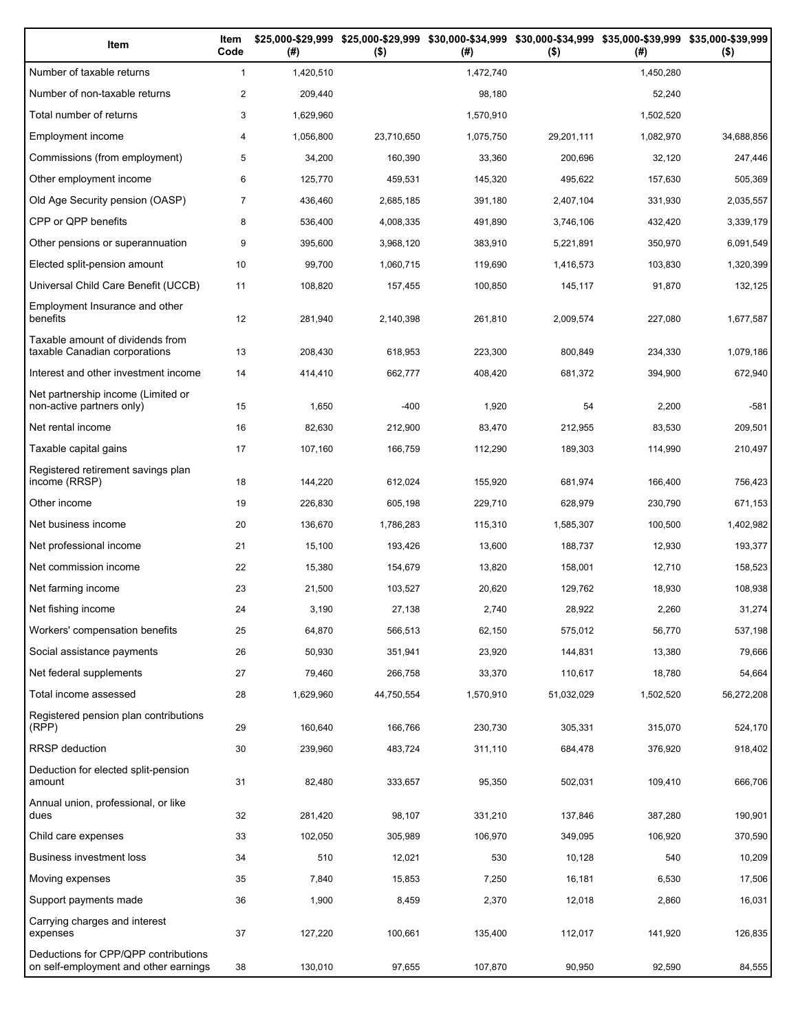| Item                                                                          | Item<br>Code   | (# )      | \$25,000-\$29,999 \$25,000-\$29,999<br>$($ \$) | (# )      | \$30,000-\$34,999 \$30,000-\$34,999 \$35,000-\$39,999 \$35,000-\$39,999<br>$($ \$) | (# )      | $($ \$)    |
|-------------------------------------------------------------------------------|----------------|-----------|------------------------------------------------|-----------|------------------------------------------------------------------------------------|-----------|------------|
| Number of taxable returns                                                     | $\mathbf{1}$   | 1,420,510 |                                                | 1,472,740 |                                                                                    | 1,450,280 |            |
| Number of non-taxable returns                                                 | $\overline{c}$ | 209,440   |                                                | 98,180    |                                                                                    | 52.240    |            |
| Total number of returns                                                       | 3              | 1,629,960 |                                                | 1,570,910 |                                                                                    | 1,502,520 |            |
| Employment income                                                             | 4              | 1,056,800 | 23,710,650                                     | 1,075,750 | 29,201,111                                                                         | 1,082,970 | 34,688,856 |
| Commissions (from employment)                                                 | 5              | 34,200    | 160,390                                        | 33,360    | 200,696                                                                            | 32,120    | 247,446    |
| Other employment income                                                       | 6              | 125,770   | 459,531                                        | 145,320   | 495,622                                                                            | 157,630   | 505,369    |
| Old Age Security pension (OASP)                                               | 7              | 436,460   | 2,685,185                                      | 391,180   | 2,407,104                                                                          | 331,930   | 2,035,557  |
| CPP or QPP benefits                                                           | 8              | 536,400   | 4,008,335                                      | 491,890   | 3,746,106                                                                          | 432,420   | 3,339,179  |
| Other pensions or superannuation                                              | 9              | 395,600   | 3,968,120                                      | 383,910   | 5,221,891                                                                          | 350,970   | 6,091,549  |
| Elected split-pension amount                                                  | 10             | 99,700    | 1,060,715                                      | 119,690   | 1,416,573                                                                          | 103,830   | 1,320,399  |
| Universal Child Care Benefit (UCCB)                                           | 11             | 108,820   | 157,455                                        | 100,850   | 145,117                                                                            | 91,870    | 132,125    |
| Employment Insurance and other<br>benefits                                    | 12             | 281,940   | 2,140,398                                      | 261,810   | 2,009,574                                                                          | 227,080   | 1,677,587  |
| Taxable amount of dividends from<br>taxable Canadian corporations             | 13             | 208,430   | 618,953                                        | 223,300   | 800,849                                                                            | 234,330   | 1,079,186  |
| Interest and other investment income                                          | 14             | 414,410   | 662,777                                        | 408,420   | 681,372                                                                            | 394,900   | 672,940    |
| Net partnership income (Limited or<br>non-active partners only)               | 15             | 1,650     | $-400$                                         | 1,920     | 54                                                                                 | 2,200     | $-581$     |
| Net rental income                                                             | 16             | 82,630    | 212,900                                        | 83,470    | 212,955                                                                            | 83,530    | 209,501    |
| Taxable capital gains                                                         | 17             | 107,160   | 166,759                                        | 112,290   | 189,303                                                                            | 114,990   | 210,497    |
| Registered retirement savings plan<br>income (RRSP)                           | 18             | 144,220   | 612,024                                        | 155,920   | 681,974                                                                            | 166,400   | 756,423    |
| Other income                                                                  | 19             | 226,830   | 605,198                                        | 229,710   | 628,979                                                                            | 230,790   | 671,153    |
| Net business income                                                           | 20             | 136,670   | 1,786,283                                      | 115,310   | 1,585,307                                                                          | 100,500   | 1,402,982  |
| Net professional income                                                       | 21             | 15,100    | 193,426                                        | 13,600    | 188,737                                                                            | 12,930    | 193,377    |
| Net commission income                                                         | 22             | 15,380    | 154,679                                        | 13,820    | 158,001                                                                            | 12,710    | 158,523    |
| Net farming income                                                            | 23             | 21,500    | 103,527                                        | 20,620    | 129,762                                                                            | 18,930    | 108,938    |
| Net fishing income                                                            | 24             | 3,190     | 27.138                                         | 2,740     | 28,922                                                                             | 2,260     | 31,274     |
| Workers' compensation benefits                                                | 25             | 64,870    | 566,513                                        | 62,150    | 575,012                                                                            | 56,770    | 537,198    |
| Social assistance payments                                                    | 26             | 50,930    | 351,941                                        | 23,920    | 144,831                                                                            | 13,380    | 79,666     |
| Net federal supplements                                                       | 27             | 79,460    | 266,758                                        | 33,370    | 110,617                                                                            | 18,780    | 54,664     |
| Total income assessed                                                         | 28             | 1,629,960 | 44,750,554                                     | 1,570,910 | 51,032,029                                                                         | 1,502,520 | 56,272,208 |
| Registered pension plan contributions<br>(RPP)                                | 29             | 160,640   | 166,766                                        | 230,730   | 305,331                                                                            | 315,070   | 524,170    |
| <b>RRSP</b> deduction                                                         | 30             | 239,960   | 483,724                                        | 311,110   | 684,478                                                                            | 376,920   | 918,402    |
| Deduction for elected split-pension<br>amount                                 | 31             | 82,480    | 333,657                                        | 95,350    | 502,031                                                                            | 109,410   | 666,706    |
| Annual union, professional, or like<br>dues                                   | 32             | 281,420   | 98,107                                         | 331,210   | 137,846                                                                            | 387,280   | 190,901    |
| Child care expenses                                                           | 33             | 102,050   | 305,989                                        | 106,970   | 349,095                                                                            | 106,920   | 370,590    |
| Business investment loss                                                      | 34             | 510       | 12,021                                         | 530       | 10,128                                                                             | 540       | 10,209     |
| Moving expenses                                                               | 35             | 7,840     | 15,853                                         | 7,250     | 16,181                                                                             | 6,530     | 17,506     |
| Support payments made                                                         | 36             | 1,900     | 8,459                                          | 2,370     | 12,018                                                                             | 2,860     | 16,031     |
| Carrying charges and interest<br>expenses                                     | 37             | 127,220   | 100,661                                        | 135,400   | 112,017                                                                            | 141,920   | 126,835    |
| Deductions for CPP/QPP contributions<br>on self-employment and other earnings | 38             | 130,010   | 97,655                                         | 107,870   | 90,950                                                                             | 92,590    | 84,555     |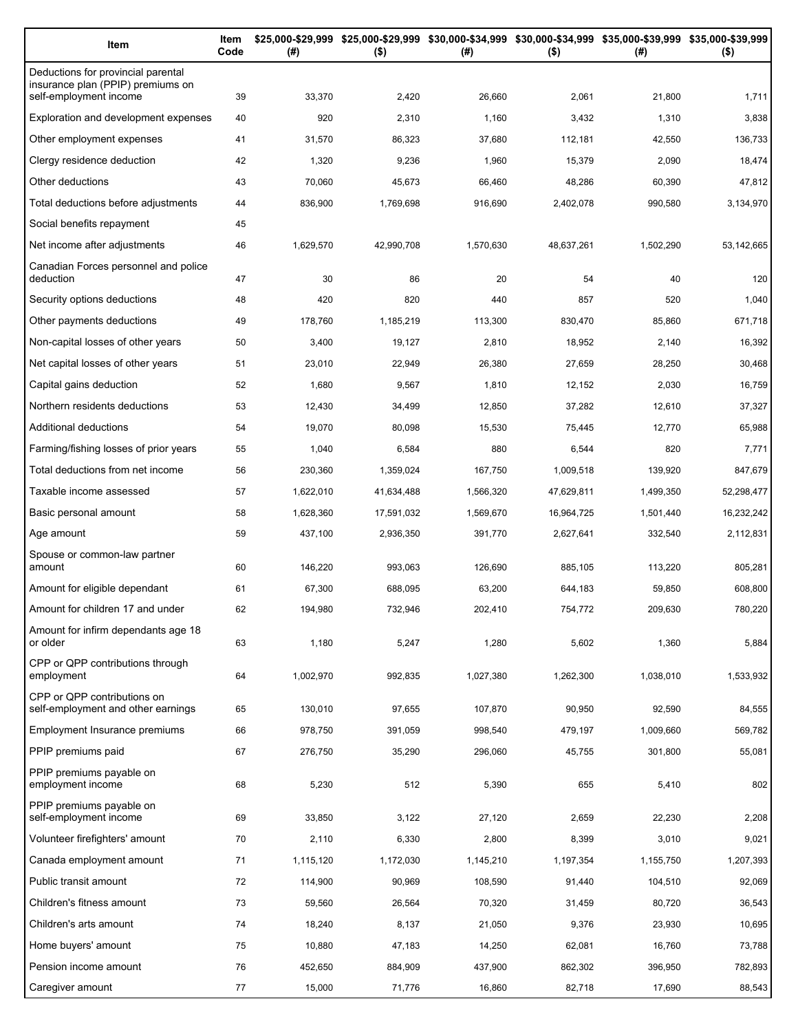| Item                                                                    | Item<br>Code | (#)               | $($ \$)             | \$25,000-\$29,999 \$25,000-\$29,999 \$30,000-\$34,999 \$30,000-\$34,999 \$35,000-\$39,999 \$35,000-\$39,999<br>(#) | $($ \$)             | (#)               | $($ \$)           |
|-------------------------------------------------------------------------|--------------|-------------------|---------------------|--------------------------------------------------------------------------------------------------------------------|---------------------|-------------------|-------------------|
| Deductions for provincial parental<br>insurance plan (PPIP) premiums on |              |                   |                     |                                                                                                                    |                     |                   |                   |
| self-employment income<br>Exploration and development expenses          | 39<br>40     | 33,370<br>920     | 2,420               | 26,660                                                                                                             | 2,061               | 21,800            | 1,711<br>3,838    |
|                                                                         |              |                   | 2,310               | 1,160                                                                                                              | 3,432               | 1,310             |                   |
| Other employment expenses<br>Clergy residence deduction                 | 41<br>42     | 31,570<br>1,320   | 86,323<br>9,236     | 37,680<br>1,960                                                                                                    | 112,181<br>15,379   | 42,550<br>2,090   | 136,733<br>18,474 |
| Other deductions                                                        | 43           |                   |                     |                                                                                                                    |                     |                   | 47,812            |
| Total deductions before adjustments                                     | 44           | 70,060<br>836,900 | 45,673<br>1,769,698 | 66,460<br>916,690                                                                                                  | 48,286<br>2,402,078 | 60,390<br>990,580 | 3,134,970         |
| Social benefits repayment                                               | 45           |                   |                     |                                                                                                                    |                     |                   |                   |
| Net income after adjustments                                            | 46           | 1,629,570         | 42,990,708          | 1,570,630                                                                                                          | 48,637,261          | 1,502,290         | 53,142,665        |
| Canadian Forces personnel and police                                    |              |                   |                     |                                                                                                                    |                     |                   |                   |
| deduction                                                               | 47           | 30                | 86                  | 20                                                                                                                 | 54                  | 40                | 120               |
| Security options deductions                                             | 48           | 420               | 820                 | 440                                                                                                                | 857                 | 520               | 1,040             |
| Other payments deductions                                               | 49           | 178,760           | 1,185,219           | 113,300                                                                                                            | 830,470             | 85,860            | 671,718           |
| Non-capital losses of other years                                       | 50           | 3,400             | 19,127              | 2,810                                                                                                              | 18,952              | 2,140             | 16,392            |
| Net capital losses of other years                                       | 51           | 23,010            | 22,949              | 26,380                                                                                                             | 27,659              | 28,250            | 30,468            |
| Capital gains deduction                                                 | 52           | 1,680             | 9,567               | 1,810                                                                                                              | 12,152              | 2,030             | 16,759            |
| Northern residents deductions                                           | 53           | 12,430            | 34,499              | 12,850                                                                                                             | 37,282              | 12,610            | 37,327            |
| Additional deductions                                                   | 54           | 19,070            | 80,098              | 15,530                                                                                                             | 75,445              | 12,770            | 65,988            |
| Farming/fishing losses of prior years                                   | 55           | 1,040             | 6,584               | 880                                                                                                                | 6,544               | 820               | 7,771             |
| Total deductions from net income                                        | 56           | 230,360           | 1,359,024           | 167,750                                                                                                            | 1,009,518           | 139,920           | 847,679           |
| Taxable income assessed                                                 | 57           | 1,622,010         | 41,634,488          | 1,566,320                                                                                                          | 47,629,811          | 1,499,350         | 52,298,477        |
| Basic personal amount                                                   | 58           | 1,628,360         | 17,591,032          | 1,569,670                                                                                                          | 16,964,725          | 1,501,440         | 16,232,242        |
| Age amount                                                              | 59           | 437,100           | 2,936,350           | 391,770                                                                                                            | 2,627,641           | 332,540           | 2,112,831         |
| Spouse or common-law partner<br>amount                                  | 60           | 146,220           | 993,063             | 126,690                                                                                                            | 885,105             | 113,220           | 805,281           |
| Amount for eligible dependant                                           | 61           | 67,300            | 688,095             | 63,200                                                                                                             | 644,183             | 59,850            | 608,800           |
| Amount for children 17 and under                                        | 62           | 194,980           | 732,946             | 202,410                                                                                                            | 754,772             | 209,630           | 780,220           |
| Amount for infirm dependants age 18                                     |              |                   |                     |                                                                                                                    |                     |                   |                   |
| or older                                                                | 63           | 1,180             | 5,247               | 1,280                                                                                                              | 5,602               | 1,360             | 5,884             |
| CPP or QPP contributions through<br>employment                          | 64           | 1,002,970         | 992,835             | 1,027,380                                                                                                          | 1,262,300           | 1,038,010         | 1,533,932         |
| CPP or QPP contributions on<br>self-employment and other earnings       | 65           | 130,010           | 97,655              | 107,870                                                                                                            | 90,950              | 92,590            | 84,555            |
| Employment Insurance premiums                                           | 66           | 978,750           | 391,059             | 998,540                                                                                                            | 479,197             | 1,009,660         | 569,782           |
| PPIP premiums paid                                                      | 67           | 276,750           | 35,290              | 296,060                                                                                                            | 45,755              | 301,800           | 55,081            |
| PPIP premiums payable on<br>employment income                           | 68           | 5,230             | 512                 | 5,390                                                                                                              | 655                 | 5,410             | 802               |
| PPIP premiums payable on<br>self-employment income                      | 69           | 33,850            | 3,122               | 27,120                                                                                                             | 2,659               | 22,230            | 2,208             |
| Volunteer firefighters' amount                                          | 70           | 2,110             | 6,330               | 2,800                                                                                                              | 8,399               | 3,010             | 9,021             |
| Canada employment amount                                                | 71           | 1,115,120         | 1,172,030           | 1,145,210                                                                                                          | 1,197,354           | 1,155,750         | 1,207,393         |
| Public transit amount                                                   | 72           | 114,900           | 90,969              | 108,590                                                                                                            | 91,440              | 104,510           | 92,069            |
| Children's fitness amount                                               | 73           | 59,560            | 26,564              | 70,320                                                                                                             | 31,459              | 80,720            | 36,543            |
| Children's arts amount                                                  | 74           | 18,240            | 8,137               | 21,050                                                                                                             | 9,376               | 23,930            | 10,695            |
| Home buyers' amount                                                     | 75           | 10,880            | 47,183              | 14,250                                                                                                             | 62,081              | 16,760            | 73,788            |
| Pension income amount                                                   | 76           | 452,650           | 884,909             | 437,900                                                                                                            | 862,302             | 396,950           | 782,893           |
| Caregiver amount                                                        | 77           | 15,000            | 71,776              | 16,860                                                                                                             | 82,718              | 17,690            | 88,543            |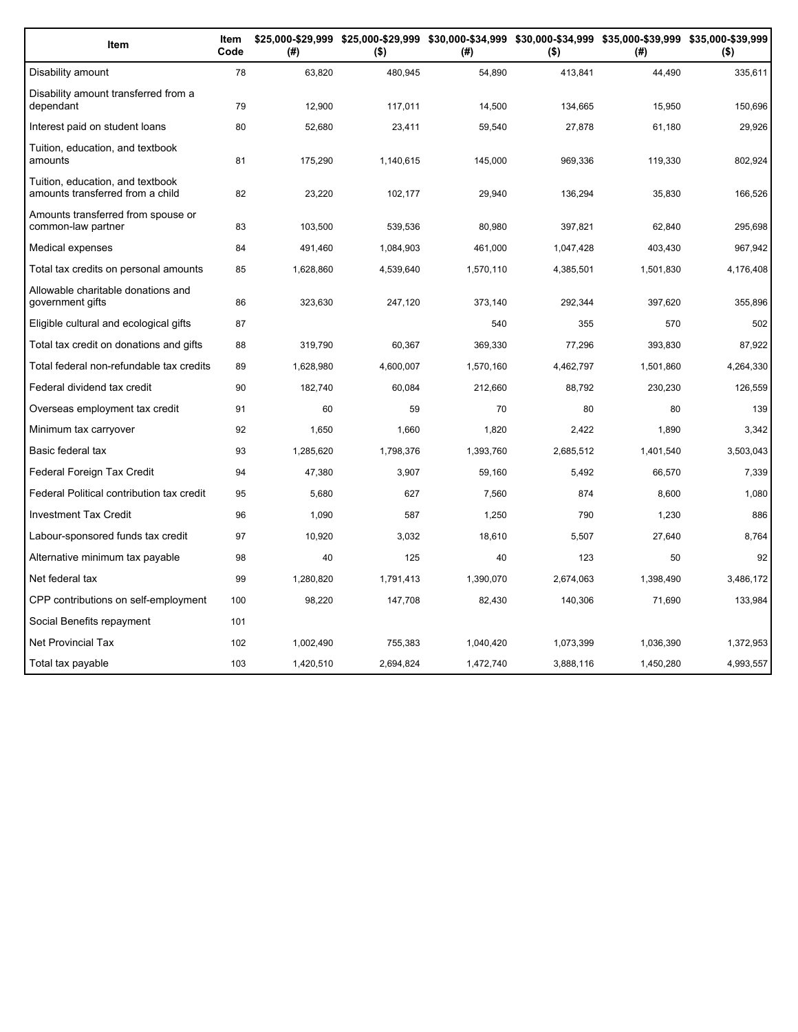| Item                                                                 | Item<br>Code | (#)       | \$25,000-\$29,999 \$25,000-\$29,999 \$30,000-\$34,999 \$30,000-\$34,999 \$35,000-\$39,999 \$35,000-\$39,999<br>$($ \$) | (#)       | $($ \$)   | (# )      | $($ \$)   |
|----------------------------------------------------------------------|--------------|-----------|------------------------------------------------------------------------------------------------------------------------|-----------|-----------|-----------|-----------|
| Disability amount                                                    | 78           | 63,820    | 480,945                                                                                                                | 54,890    | 413,841   | 44,490    | 335,611   |
| Disability amount transferred from a<br>dependant                    | 79           | 12,900    | 117,011                                                                                                                | 14,500    | 134,665   | 15,950    | 150,696   |
| Interest paid on student loans                                       | 80           | 52,680    | 23,411                                                                                                                 | 59,540    | 27,878    | 61,180    | 29,926    |
| Tuition, education, and textbook<br>amounts                          | 81           | 175,290   | 1,140,615                                                                                                              | 145,000   | 969,336   | 119,330   | 802,924   |
| Tuition, education, and textbook<br>amounts transferred from a child | 82           | 23,220    | 102,177                                                                                                                | 29,940    | 136,294   | 35,830    | 166,526   |
| Amounts transferred from spouse or<br>common-law partner             | 83           | 103,500   | 539,536                                                                                                                | 80,980    | 397,821   | 62,840    | 295,698   |
| Medical expenses                                                     | 84           | 491,460   | 1,084,903                                                                                                              | 461,000   | 1,047,428 | 403,430   | 967,942   |
| Total tax credits on personal amounts                                | 85           | 1,628,860 | 4,539,640                                                                                                              | 1,570,110 | 4,385,501 | 1,501,830 | 4,176,408 |
| Allowable charitable donations and<br>government gifts               | 86           | 323,630   | 247,120                                                                                                                | 373,140   | 292,344   | 397,620   | 355,896   |
| Eligible cultural and ecological gifts                               | 87           |           |                                                                                                                        | 540       | 355       | 570       | 502       |
| Total tax credit on donations and gifts                              | 88           | 319,790   | 60,367                                                                                                                 | 369,330   | 77,296    | 393,830   | 87,922    |
| Total federal non-refundable tax credits                             | 89           | 1,628,980 | 4,600,007                                                                                                              | 1,570,160 | 4,462,797 | 1,501,860 | 4,264,330 |
| Federal dividend tax credit                                          | 90           | 182,740   | 60,084                                                                                                                 | 212,660   | 88,792    | 230,230   | 126,559   |
| Overseas employment tax credit                                       | 91           | 60        | 59                                                                                                                     | 70        | 80        | 80        | 139       |
| Minimum tax carryover                                                | 92           | 1,650     | 1,660                                                                                                                  | 1,820     | 2,422     | 1,890     | 3,342     |
| Basic federal tax                                                    | 93           | 1,285,620 | 1,798,376                                                                                                              | 1,393,760 | 2,685,512 | 1,401,540 | 3,503,043 |
| Federal Foreign Tax Credit                                           | 94           | 47,380    | 3,907                                                                                                                  | 59.160    | 5.492     | 66.570    | 7,339     |
| Federal Political contribution tax credit                            | 95           | 5,680     | 627                                                                                                                    | 7,560     | 874       | 8,600     | 1,080     |
| <b>Investment Tax Credit</b>                                         | 96           | 1,090     | 587                                                                                                                    | 1,250     | 790       | 1,230     | 886       |
| Labour-sponsored funds tax credit                                    | 97           | 10,920    | 3,032                                                                                                                  | 18,610    | 5,507     | 27,640    | 8,764     |
| Alternative minimum tax payable                                      | 98           | 40        | 125                                                                                                                    | 40        | 123       | 50        | 92        |
| Net federal tax                                                      | 99           | 1,280,820 | 1,791,413                                                                                                              | 1,390,070 | 2,674,063 | 1,398,490 | 3,486,172 |
| CPP contributions on self-employment                                 | 100          | 98,220    | 147,708                                                                                                                | 82,430    | 140,306   | 71,690    | 133,984   |
| Social Benefits repayment                                            | 101          |           |                                                                                                                        |           |           |           |           |
| Net Provincial Tax                                                   | 102          | 1,002,490 | 755,383                                                                                                                | 1,040,420 | 1,073,399 | 1,036,390 | 1,372,953 |
| Total tax payable                                                    | 103          | 1,420,510 | 2,694,824                                                                                                              | 1,472,740 | 3,888,116 | 1,450,280 | 4,993,557 |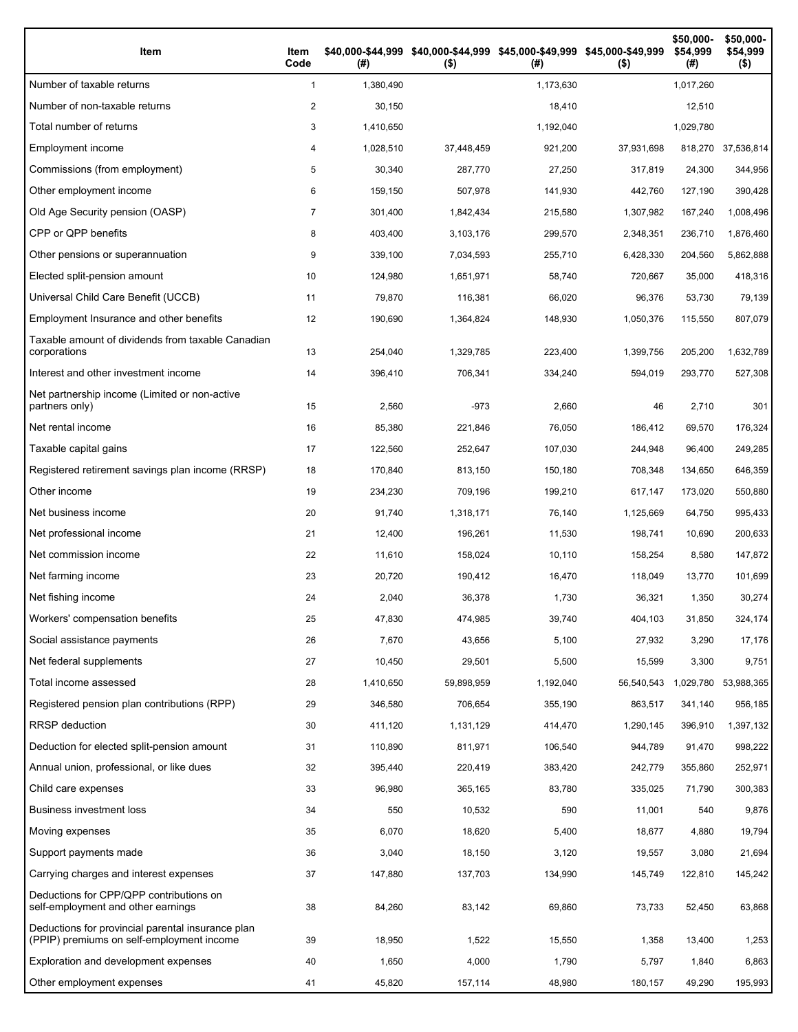| Item                                                                                           | Item<br>Code | (# )      | \$40,000-\$44,999 \$40,000-\$44,999 \$45,000-\$49,999 \$45,000-\$49,999<br>$($ \$) | (#)       | $($ \$)    | \$50,000-<br>\$54,999<br>(# ) | \$50,000-<br>\$54,999<br>$($ \$) |
|------------------------------------------------------------------------------------------------|--------------|-----------|------------------------------------------------------------------------------------|-----------|------------|-------------------------------|----------------------------------|
| Number of taxable returns                                                                      | $\mathbf{1}$ | 1,380,490 |                                                                                    | 1,173,630 |            | 1,017,260                     |                                  |
| Number of non-taxable returns                                                                  | 2            | 30,150    |                                                                                    | 18,410    |            | 12,510                        |                                  |
| Total number of returns                                                                        | 3            | 1,410,650 |                                                                                    | 1,192,040 |            | 1,029,780                     |                                  |
| Employment income                                                                              | 4            | 1,028,510 | 37,448,459                                                                         | 921,200   | 37,931,698 |                               | 818,270 37,536,814               |
| Commissions (from employment)                                                                  | 5            | 30,340    | 287,770                                                                            | 27,250    | 317,819    | 24,300                        | 344,956                          |
| Other employment income                                                                        | 6            | 159.150   | 507,978                                                                            | 141,930   | 442,760    | 127,190                       | 390,428                          |
| Old Age Security pension (OASP)                                                                | 7            | 301,400   | 1,842,434                                                                          | 215,580   | 1,307,982  | 167,240                       | 1,008,496                        |
| CPP or QPP benefits                                                                            | 8            | 403,400   | 3,103,176                                                                          | 299,570   | 2,348,351  | 236,710                       | 1,876,460                        |
| Other pensions or superannuation                                                               | 9            | 339,100   | 7,034,593                                                                          | 255,710   | 6,428,330  | 204,560                       | 5,862,888                        |
| Elected split-pension amount                                                                   | 10           | 124,980   | 1,651,971                                                                          | 58,740    | 720,667    | 35,000                        | 418,316                          |
| Universal Child Care Benefit (UCCB)                                                            | 11           | 79,870    | 116,381                                                                            | 66,020    | 96,376     | 53,730                        | 79,139                           |
| Employment Insurance and other benefits                                                        | 12           | 190,690   | 1,364,824                                                                          | 148,930   | 1,050,376  | 115,550                       | 807,079                          |
| Taxable amount of dividends from taxable Canadian<br>corporations                              | 13           | 254,040   | 1,329,785                                                                          | 223,400   | 1,399,756  | 205,200                       | 1,632,789                        |
| Interest and other investment income                                                           | 14           | 396,410   | 706,341                                                                            | 334,240   | 594,019    | 293,770                       | 527,308                          |
| Net partnership income (Limited or non-active<br>partners only)                                | 15           | 2,560     | $-973$                                                                             | 2,660     | 46         | 2,710                         | 301                              |
| Net rental income                                                                              | 16           | 85,380    | 221,846                                                                            | 76,050    | 186,412    | 69,570                        | 176,324                          |
| Taxable capital gains                                                                          | 17           | 122,560   | 252,647                                                                            | 107,030   | 244,948    | 96,400                        | 249,285                          |
| Registered retirement savings plan income (RRSP)                                               | 18           | 170,840   | 813,150                                                                            | 150,180   | 708,348    | 134,650                       | 646,359                          |
| Other income                                                                                   | 19           | 234,230   | 709,196                                                                            | 199,210   | 617,147    | 173,020                       | 550,880                          |
| Net business income                                                                            | 20           | 91,740    | 1,318,171                                                                          | 76,140    | 1,125,669  | 64,750                        | 995,433                          |
| Net professional income                                                                        | 21           | 12,400    | 196,261                                                                            | 11,530    | 198,741    | 10,690                        | 200,633                          |
| Net commission income                                                                          | 22           | 11,610    | 158,024                                                                            | 10,110    | 158,254    | 8,580                         | 147,872                          |
| Net farming income                                                                             | 23           | 20,720    | 190,412                                                                            | 16,470    | 118,049    | 13,770                        | 101,699                          |
| Net fishing income                                                                             | 24           | 2,040     | 36,378                                                                             | 1,730     | 36,321     | 1,350                         | 30,274                           |
| Workers' compensation benefits                                                                 | 25           | 47,830    | 474,985                                                                            | 39,740    | 404,103    | 31,850                        | 324,174                          |
| Social assistance payments                                                                     | 26           | 7,670     | 43,656                                                                             | 5,100     | 27,932     | 3,290                         | 17,176                           |
| Net federal supplements                                                                        | 27           | 10,450    | 29,501                                                                             | 5,500     | 15,599     | 3,300                         | 9,751                            |
| Total income assessed                                                                          | 28           | 1,410,650 | 59,898,959                                                                         | 1,192,040 | 56,540,543 | 1,029,780                     | 53,988,365                       |
| Registered pension plan contributions (RPP)                                                    | 29           | 346,580   | 706,654                                                                            | 355,190   | 863,517    | 341,140                       | 956,185                          |
| RRSP deduction                                                                                 | 30           | 411,120   | 1,131,129                                                                          | 414,470   | 1,290,145  | 396,910                       | 1,397,132                        |
| Deduction for elected split-pension amount                                                     | 31           | 110,890   | 811,971                                                                            | 106,540   | 944,789    | 91,470                        | 998,222                          |
| Annual union, professional, or like dues                                                       | 32           | 395,440   | 220,419                                                                            | 383,420   | 242,779    | 355,860                       | 252,971                          |
| Child care expenses                                                                            | 33           | 96,980    | 365,165                                                                            | 83,780    | 335,025    | 71,790                        | 300,383                          |
| <b>Business investment loss</b>                                                                | 34           | 550       | 10,532                                                                             | 590       | 11,001     | 540                           | 9,876                            |
| Moving expenses                                                                                | 35           | 6,070     | 18,620                                                                             | 5,400     | 18,677     | 4,880                         | 19,794                           |
| Support payments made                                                                          | 36           | 3,040     | 18,150                                                                             | 3,120     | 19,557     | 3,080                         | 21,694                           |
| Carrying charges and interest expenses                                                         | 37           | 147,880   | 137,703                                                                            | 134,990   | 145,749    | 122,810                       | 145,242                          |
| Deductions for CPP/QPP contributions on<br>self-employment and other earnings                  | 38           | 84,260    | 83,142                                                                             | 69,860    | 73,733     | 52,450                        | 63,868                           |
| Deductions for provincial parental insurance plan<br>(PPIP) premiums on self-employment income | 39           | 18,950    | 1,522                                                                              | 15,550    | 1,358      | 13,400                        | 1,253                            |
| Exploration and development expenses                                                           | 40           | 1,650     | 4,000                                                                              | 1,790     | 5,797      | 1,840                         | 6,863                            |
| Other employment expenses                                                                      | 41           | 45,820    | 157,114                                                                            | 48,980    | 180,157    | 49,290                        | 195,993                          |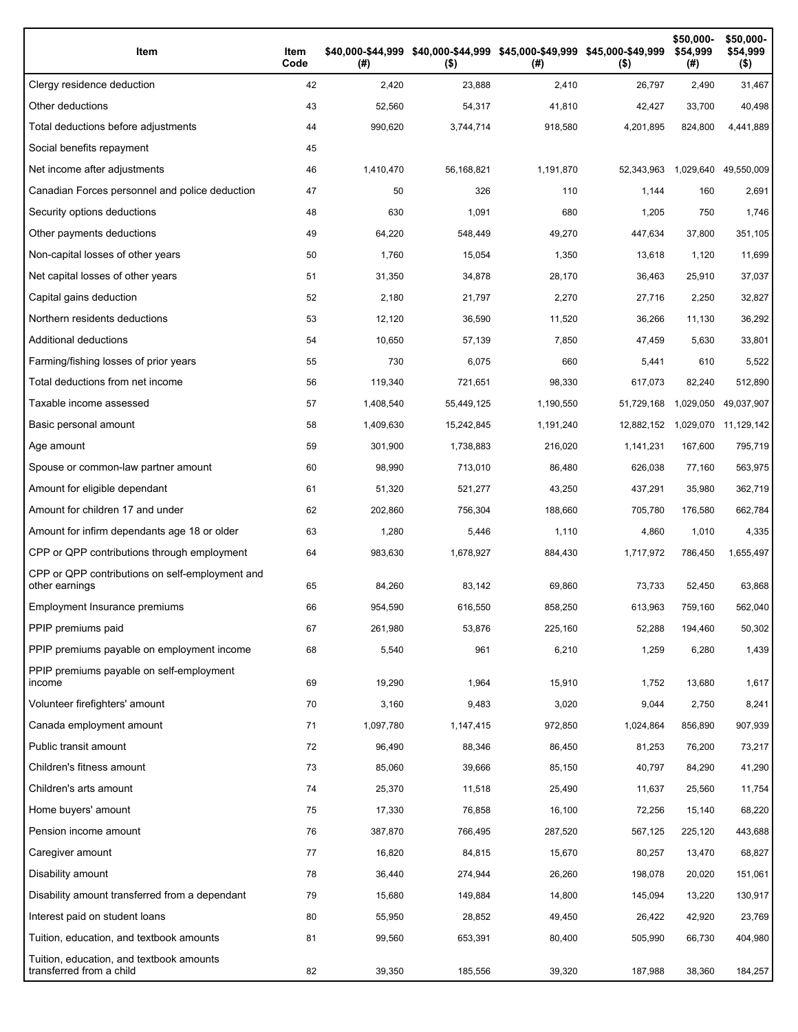| Item                                                                 | Item<br>Code | (#)       | \$40,000-\$44,999 \$40,000-\$44,999 \$45,000-\$49,999 \$45,000-\$49,999<br>$($ \$) | (#)       | $($ \$)    | \$50,000-<br>\$54,999<br>(#) | \$50,000-<br>\$54,999<br>$($ \$) |
|----------------------------------------------------------------------|--------------|-----------|------------------------------------------------------------------------------------|-----------|------------|------------------------------|----------------------------------|
| Clergy residence deduction                                           | 42           | 2,420     | 23,888                                                                             | 2,410     | 26,797     | 2,490                        | 31,467                           |
| Other deductions                                                     | 43           | 52,560    | 54,317                                                                             | 41,810    | 42,427     | 33,700                       | 40,498                           |
| Total deductions before adjustments                                  | 44           | 990,620   | 3,744,714                                                                          | 918,580   | 4,201,895  | 824,800                      | 4,441,889                        |
| Social benefits repayment                                            | 45           |           |                                                                                    |           |            |                              |                                  |
| Net income after adjustments                                         | 46           | 1,410,470 | 56,168,821                                                                         | 1,191,870 | 52,343,963 | 1,029,640                    | 49,550,009                       |
| Canadian Forces personnel and police deduction                       | 47           | 50        | 326                                                                                | 110       | 1,144      | 160                          | 2,691                            |
| Security options deductions                                          | 48           | 630       | 1,091                                                                              | 680       | 1,205      | 750                          | 1,746                            |
| Other payments deductions                                            | 49           | 64,220    | 548,449                                                                            | 49,270    | 447,634    | 37,800                       | 351,105                          |
| Non-capital losses of other years                                    | 50           | 1,760     | 15,054                                                                             | 1,350     | 13,618     | 1,120                        | 11,699                           |
| Net capital losses of other years                                    | 51           | 31,350    | 34,878                                                                             | 28,170    | 36,463     | 25,910                       | 37,037                           |
| Capital gains deduction                                              | 52           | 2,180     | 21,797                                                                             | 2,270     | 27,716     | 2,250                        | 32,827                           |
| Northern residents deductions                                        | 53           | 12,120    | 36,590                                                                             | 11,520    | 36,266     | 11,130                       | 36,292                           |
| Additional deductions                                                | 54           | 10,650    | 57,139                                                                             | 7,850     | 47,459     | 5,630                        | 33,801                           |
| Farming/fishing losses of prior years                                | 55           | 730       | 6,075                                                                              | 660       | 5,441      | 610                          | 5,522                            |
| Total deductions from net income                                     | 56           | 119,340   | 721,651                                                                            | 98,330    | 617,073    | 82,240                       | 512,890                          |
| Taxable income assessed                                              | 57           | 1,408,540 | 55,449,125                                                                         | 1,190,550 | 51,729,168 | 1,029,050                    | 49,037,907                       |
| Basic personal amount                                                | 58           | 1,409,630 | 15,242,845                                                                         | 1,191,240 | 12,882,152 | 1,029,070                    | 11,129,142                       |
| Age amount                                                           | 59           | 301,900   | 1,738,883                                                                          | 216,020   | 1,141,231  | 167,600                      | 795,719                          |
| Spouse or common-law partner amount                                  | 60           | 98,990    | 713,010                                                                            | 86,480    | 626,038    | 77,160                       | 563,975                          |
| Amount for eligible dependant                                        | 61           | 51,320    | 521,277                                                                            | 43,250    | 437,291    | 35,980                       | 362,719                          |
| Amount for children 17 and under                                     | 62           | 202,860   | 756,304                                                                            | 188,660   | 705,780    | 176,580                      | 662,784                          |
| Amount for infirm dependants age 18 or older                         | 63           | 1,280     | 5,446                                                                              | 1,110     | 4,860      | 1,010                        | 4,335                            |
| CPP or QPP contributions through employment                          | 64           | 983,630   | 1,678,927                                                                          | 884,430   | 1,717,972  | 786,450                      | 1,655,497                        |
| CPP or QPP contributions on self-employment and<br>other earnings    | 65           | 84,260    | 83,142                                                                             | 69,860    | 73,733     | 52,450                       | 63,868                           |
| Employment Insurance premiums                                        | 66           | 954,590   | 616,550                                                                            | 858,250   | 613,963    | 759.160                      | 562,040                          |
| PPIP premiums paid                                                   | 67           | 261,980   | 53,876                                                                             | 225,160   | 52,288     | 194,460                      | 50,302                           |
| PPIP premiums payable on employment income                           | 68           | 5,540     | 961                                                                                | 6,210     | 1,259      | 6,280                        | 1,439                            |
| PPIP premiums payable on self-employment<br>income                   | 69           | 19,290    | 1,964                                                                              | 15,910    | 1,752      | 13,680                       | 1,617                            |
| Volunteer firefighters' amount                                       | 70           | 3,160     | 9,483                                                                              | 3,020     | 9,044      | 2,750                        | 8,241                            |
| Canada employment amount                                             | 71           | 1,097,780 | 1,147,415                                                                          | 972,850   | 1,024,864  | 856,890                      | 907,939                          |
| Public transit amount                                                | 72           | 96,490    | 88,346                                                                             | 86,450    | 81,253     | 76,200                       | 73,217                           |
| Children's fitness amount                                            | 73           | 85,060    | 39,666                                                                             | 85,150    | 40,797     | 84,290                       | 41,290                           |
| Children's arts amount                                               | 74           | 25,370    | 11,518                                                                             | 25,490    | 11,637     | 25,560                       | 11,754                           |
| Home buyers' amount                                                  | 75           | 17,330    | 76,858                                                                             | 16,100    | 72,256     | 15,140                       | 68,220                           |
| Pension income amount                                                | 76           | 387,870   | 766,495                                                                            | 287,520   | 567,125    | 225,120                      | 443,688                          |
| Caregiver amount                                                     | 77           | 16,820    | 84,815                                                                             | 15,670    | 80,257     | 13,470                       | 68,827                           |
| Disability amount                                                    | 78           | 36,440    | 274,944                                                                            | 26,260    | 198,078    | 20,020                       | 151,061                          |
| Disability amount transferred from a dependant                       | 79           | 15,680    | 149,884                                                                            | 14,800    | 145,094    | 13,220                       | 130,917                          |
| Interest paid on student loans                                       | 80           | 55,950    | 28,852                                                                             | 49,450    | 26,422     | 42,920                       | 23,769                           |
| Tuition, education, and textbook amounts                             | 81           | 99,560    | 653,391                                                                            | 80,400    | 505,990    | 66,730                       | 404,980                          |
| Tuition, education, and textbook amounts<br>transferred from a child | 82           | 39,350    | 185,556                                                                            | 39,320    | 187,988    | 38,360                       | 184,257                          |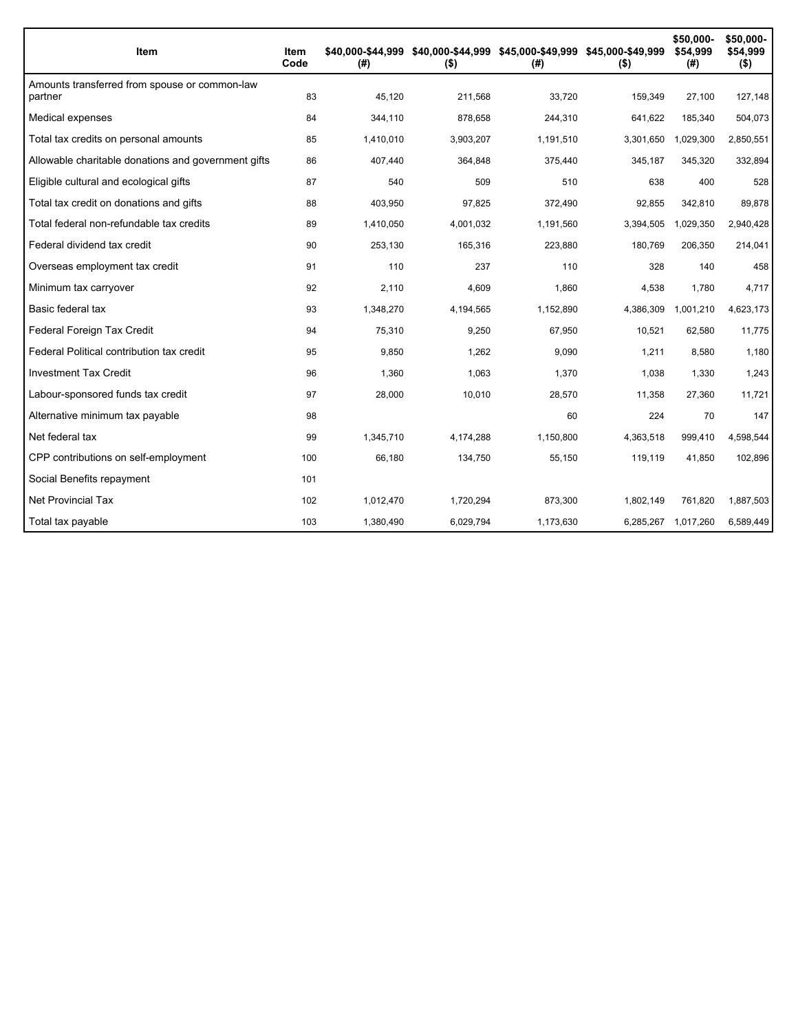| Item                                                     | Item<br>Code | (# )      | \$40,000-\$44,999 \$40,000-\$44,999 \$45,000-\$49,999 \$45,000-\$49,999<br>$($ \$) | (# )      | $($ \$)   | \$50,000-<br>\$54,999<br>(#) | \$50,000-<br>\$54,999<br>$($ \$) |
|----------------------------------------------------------|--------------|-----------|------------------------------------------------------------------------------------|-----------|-----------|------------------------------|----------------------------------|
| Amounts transferred from spouse or common-law<br>partner | 83           | 45,120    | 211,568                                                                            | 33,720    | 159,349   | 27,100                       | 127,148                          |
| Medical expenses                                         | 84           | 344,110   | 878,658                                                                            | 244,310   | 641,622   | 185,340                      | 504,073                          |
| Total tax credits on personal amounts                    | 85           | 1,410,010 | 3,903,207                                                                          | 1,191,510 | 3,301,650 | 1,029,300                    | 2,850,551                        |
| Allowable charitable donations and government gifts      | 86           | 407,440   | 364,848                                                                            | 375,440   | 345,187   | 345,320                      | 332,894                          |
| Eligible cultural and ecological gifts                   | 87           | 540       | 509                                                                                | 510       | 638       | 400                          | 528                              |
| Total tax credit on donations and gifts                  | 88           | 403,950   | 97,825                                                                             | 372,490   | 92,855    | 342,810                      | 89,878                           |
| Total federal non-refundable tax credits                 | 89           | 1.410.050 | 4,001,032                                                                          | 1,191,560 | 3,394,505 | 1,029,350                    | 2,940,428                        |
| Federal dividend tax credit                              | 90           | 253,130   | 165,316                                                                            | 223,880   | 180,769   | 206,350                      | 214,041                          |
| Overseas employment tax credit                           | 91           | 110       | 237                                                                                | 110       | 328       | 140                          | 458                              |
| Minimum tax carryover                                    | 92           | 2,110     | 4,609                                                                              | 1,860     | 4,538     | 1,780                        | 4,717                            |
| Basic federal tax                                        | 93           | 1,348,270 | 4,194,565                                                                          | 1,152,890 | 4,386,309 | 1,001,210                    | 4,623,173                        |
| Federal Foreign Tax Credit                               | 94           | 75,310    | 9,250                                                                              | 67,950    | 10,521    | 62,580                       | 11,775                           |
| Federal Political contribution tax credit                | 95           | 9,850     | 1,262                                                                              | 9,090     | 1,211     | 8,580                        | 1,180                            |
| <b>Investment Tax Credit</b>                             | 96           | 1,360     | 1,063                                                                              | 1,370     | 1,038     | 1,330                        | 1,243                            |
| Labour-sponsored funds tax credit                        | 97           | 28,000    | 10,010                                                                             | 28,570    | 11,358    | 27,360                       | 11,721                           |
| Alternative minimum tax payable                          | 98           |           |                                                                                    | 60        | 224       | 70                           | 147                              |
| Net federal tax                                          | 99           | 1,345,710 | 4,174,288                                                                          | 1,150,800 | 4,363,518 | 999,410                      | 4,598,544                        |
| CPP contributions on self-employment                     | 100          | 66,180    | 134,750                                                                            | 55,150    | 119,119   | 41,850                       | 102,896                          |
| Social Benefits repayment                                | 101          |           |                                                                                    |           |           |                              |                                  |
| <b>Net Provincial Tax</b>                                | 102          | 1,012,470 | 1,720,294                                                                          | 873,300   | 1,802,149 | 761.820                      | 1,887,503                        |
| Total tax payable                                        | 103          | 1,380,490 | 6,029,794                                                                          | 1,173,630 | 6,285,267 | 1,017,260                    | 6,589,449                        |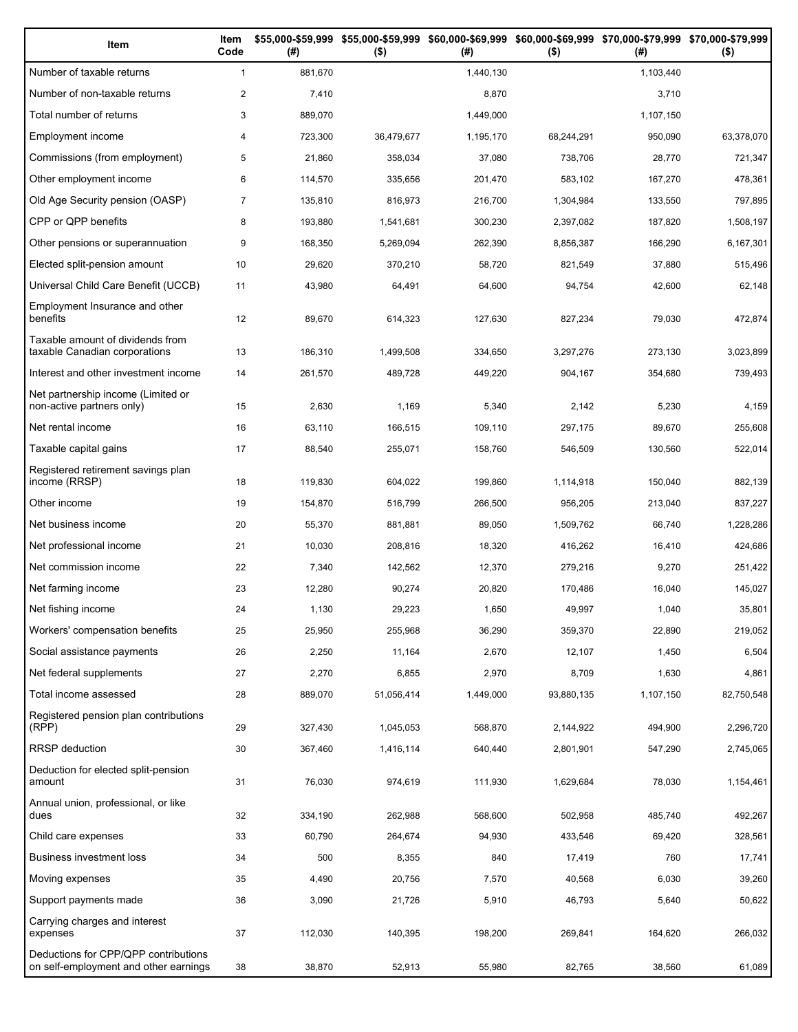| Item                                                                          | Item<br>Code   | (# )    | \$55,000-\$59,999 \$55,000-\$59,999 \$60,000-\$69,999 \$60,000-\$69,999 \$70,000-\$79,999 \$70,000-\$79,999<br>$($ \$) | (#)       | $($ \$)    | (#)       | $($ \$)    |
|-------------------------------------------------------------------------------|----------------|---------|------------------------------------------------------------------------------------------------------------------------|-----------|------------|-----------|------------|
| Number of taxable returns                                                     | $\mathbf{1}$   | 881,670 |                                                                                                                        | 1,440,130 |            | 1,103,440 |            |
| Number of non-taxable returns                                                 | $\overline{c}$ | 7,410   |                                                                                                                        | 8,870     |            | 3,710     |            |
| Total number of returns                                                       | 3              | 889,070 |                                                                                                                        | 1,449,000 |            | 1,107,150 |            |
| Employment income                                                             | 4              | 723,300 | 36,479,677                                                                                                             | 1,195,170 | 68,244,291 | 950,090   | 63,378,070 |
| Commissions (from employment)                                                 | 5              | 21,860  | 358,034                                                                                                                | 37,080    | 738,706    | 28,770    | 721,347    |
| Other employment income                                                       | 6              | 114,570 | 335,656                                                                                                                | 201,470   | 583,102    | 167,270   | 478,361    |
| Old Age Security pension (OASP)                                               | $\overline{7}$ | 135,810 | 816,973                                                                                                                | 216,700   | 1,304,984  | 133,550   | 797,895    |
| CPP or QPP benefits                                                           | 8              | 193,880 | 1,541,681                                                                                                              | 300,230   | 2,397,082  | 187,820   | 1,508,197  |
| Other pensions or superannuation                                              | 9              | 168,350 | 5,269,094                                                                                                              | 262,390   | 8,856,387  | 166,290   | 6,167,301  |
| Elected split-pension amount                                                  | 10             | 29,620  | 370,210                                                                                                                | 58,720    | 821,549    | 37,880    | 515,496    |
| Universal Child Care Benefit (UCCB)                                           | 11             | 43,980  | 64,491                                                                                                                 | 64,600    | 94,754     | 42,600    | 62,148     |
| Employment Insurance and other<br>benefits                                    | 12             | 89,670  | 614,323                                                                                                                | 127,630   | 827,234    | 79,030    | 472,874    |
| Taxable amount of dividends from<br>taxable Canadian corporations             | 13             | 186,310 | 1,499,508                                                                                                              | 334,650   | 3,297,276  | 273,130   | 3,023,899  |
| Interest and other investment income                                          | 14             | 261,570 | 489,728                                                                                                                | 449,220   | 904,167    | 354,680   | 739,493    |
| Net partnership income (Limited or<br>non-active partners only)               | 15             | 2,630   | 1,169                                                                                                                  | 5,340     | 2,142      | 5,230     | 4,159      |
| Net rental income                                                             | 16             | 63,110  | 166,515                                                                                                                | 109,110   | 297,175    | 89,670    | 255,608    |
| Taxable capital gains                                                         | 17             | 88,540  | 255,071                                                                                                                | 158,760   | 546,509    | 130,560   | 522,014    |
| Registered retirement savings plan<br>income (RRSP)                           | 18             | 119,830 | 604,022                                                                                                                | 199,860   | 1,114,918  | 150,040   | 882,139    |
| Other income                                                                  | 19             | 154,870 | 516,799                                                                                                                | 266,500   | 956,205    | 213,040   | 837,227    |
| Net business income                                                           | 20             | 55,370  | 881,881                                                                                                                | 89,050    | 1,509,762  | 66,740    | 1,228,286  |
| Net professional income                                                       | 21             | 10,030  | 208,816                                                                                                                | 18,320    | 416,262    | 16,410    | 424,686    |
| Net commission income                                                         | 22             | 7,340   | 142,562                                                                                                                | 12,370    | 279,216    | 9,270     | 251,422    |
| Net farming income                                                            | 23             | 12,280  | 90,274                                                                                                                 | 20,820    | 170,486    | 16,040    | 145,027    |
| Net fishing income                                                            | 24             | 1,130   | 29,223                                                                                                                 | 1,650     | 49,997     | 1,040     | 35,801     |
| Workers' compensation benefits                                                | 25             | 25,950  | 255,968                                                                                                                | 36,290    | 359,370    | 22,890    | 219,052    |
| Social assistance payments                                                    | 26             | 2,250   | 11,164                                                                                                                 | 2,670     | 12,107     | 1,450     | 6,504      |
| Net federal supplements                                                       | 27             | 2,270   | 6,855                                                                                                                  | 2,970     | 8,709      | 1,630     | 4,861      |
| Total income assessed                                                         | 28             | 889,070 | 51,056,414                                                                                                             | 1,449,000 | 93,880,135 | 1,107,150 | 82,750,548 |
| Registered pension plan contributions<br>(RPP)                                | 29             | 327,430 | 1,045,053                                                                                                              | 568,870   | 2,144,922  | 494,900   | 2,296,720  |
| RRSP deduction                                                                | 30             | 367,460 | 1,416,114                                                                                                              | 640,440   | 2,801,901  | 547,290   | 2,745,065  |
| Deduction for elected split-pension<br>amount                                 | 31             | 76,030  | 974,619                                                                                                                | 111,930   | 1,629,684  | 78,030    | 1,154,461  |
| Annual union, professional, or like<br>dues                                   | 32             | 334,190 | 262,988                                                                                                                | 568,600   | 502,958    | 485,740   | 492,267    |
| Child care expenses                                                           | 33             | 60,790  | 264,674                                                                                                                | 94,930    | 433,546    | 69,420    | 328,561    |
| Business investment loss                                                      | 34             | 500     | 8,355                                                                                                                  | 840       | 17,419     | 760       | 17,741     |
| Moving expenses                                                               | 35             | 4,490   | 20,756                                                                                                                 | 7,570     | 40,568     | 6,030     | 39,260     |
| Support payments made                                                         | 36             | 3,090   | 21,726                                                                                                                 | 5,910     | 46,793     | 5,640     | 50,622     |
| Carrying charges and interest<br>expenses                                     | 37             | 112,030 | 140,395                                                                                                                | 198,200   | 269,841    | 164,620   | 266,032    |
| Deductions for CPP/QPP contributions<br>on self-employment and other earnings | 38             | 38,870  | 52,913                                                                                                                 | 55,980    | 82,765     | 38,560    | 61,089     |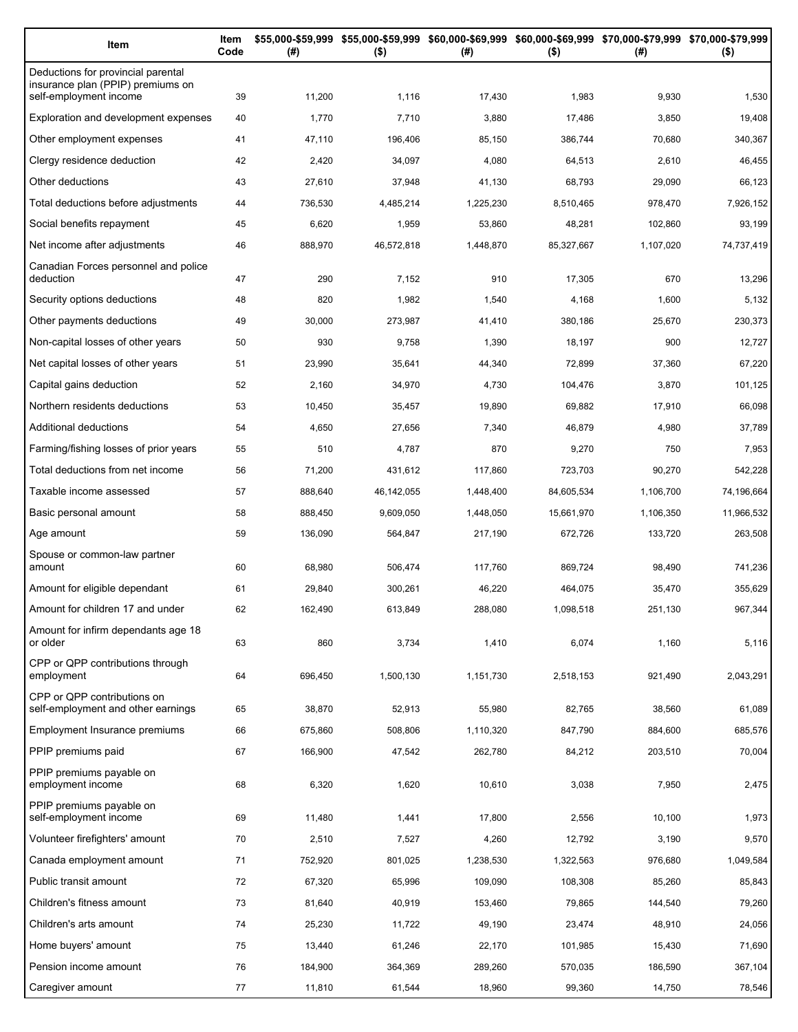| Item                                                                                              | Item<br>Code | (#)     | \$55,000-\$59,999 \$55,000-\$59,999 \$60,000-\$69,999 \$60,000-\$69,999 \$70,000-\$79,999 \$70,000-\$79,999<br>$($ \$)<br>(#) |           | $($ \$)    | (#)       | $($ \$)    |
|---------------------------------------------------------------------------------------------------|--------------|---------|-------------------------------------------------------------------------------------------------------------------------------|-----------|------------|-----------|------------|
| Deductions for provincial parental<br>insurance plan (PPIP) premiums on<br>self-employment income | 39           | 11,200  | 1,116                                                                                                                         | 17,430    | 1,983      | 9,930     | 1,530      |
| Exploration and development expenses                                                              | 40           | 1,770   | 7,710                                                                                                                         | 3,880     | 17,486     | 3,850     | 19,408     |
| Other employment expenses                                                                         | 41           | 47,110  | 196,406                                                                                                                       | 85,150    | 386,744    | 70,680    | 340,367    |
| Clergy residence deduction                                                                        | 42           | 2,420   | 34,097                                                                                                                        | 4,080     | 64,513     | 2,610     | 46,455     |
| Other deductions                                                                                  | 43           | 27,610  | 37,948                                                                                                                        | 41,130    | 68,793     | 29,090    | 66,123     |
| Total deductions before adjustments                                                               | 44           | 736,530 | 4,485,214                                                                                                                     | 1,225,230 | 8,510,465  | 978,470   | 7,926,152  |
| Social benefits repayment                                                                         | 45           | 6,620   | 1,959                                                                                                                         | 53,860    | 48,281     | 102,860   | 93,199     |
| Net income after adjustments                                                                      | 46           | 888,970 | 46,572,818                                                                                                                    | 1,448,870 | 85,327,667 | 1,107,020 | 74,737,419 |
| Canadian Forces personnel and police                                                              |              |         |                                                                                                                               |           |            |           |            |
| deduction                                                                                         | 47           | 290     | 7,152                                                                                                                         | 910       | 17,305     | 670       | 13,296     |
| Security options deductions                                                                       | 48           | 820     | 1,982                                                                                                                         | 1,540     | 4,168      | 1,600     | 5,132      |
| Other payments deductions                                                                         | 49           | 30,000  | 273,987                                                                                                                       | 41,410    | 380,186    | 25,670    | 230,373    |
| Non-capital losses of other years                                                                 | 50           | 930     | 9,758                                                                                                                         | 1,390     | 18,197     | 900       | 12,727     |
| Net capital losses of other years                                                                 | 51           | 23,990  | 35,641                                                                                                                        | 44,340    | 72,899     | 37,360    | 67,220     |
| Capital gains deduction                                                                           | 52           | 2,160   | 34,970                                                                                                                        | 4,730     | 104,476    | 3,870     | 101,125    |
| Northern residents deductions                                                                     | 53           | 10,450  | 35,457                                                                                                                        | 19,890    | 69,882     | 17,910    | 66,098     |
| Additional deductions                                                                             | 54           | 4,650   | 27,656                                                                                                                        | 7,340     | 46,879     | 4,980     | 37,789     |
| Farming/fishing losses of prior years                                                             | 55           | 510     | 4,787                                                                                                                         | 870       | 9,270      | 750       | 7,953      |
| Total deductions from net income                                                                  | 56           | 71,200  | 431,612                                                                                                                       | 117,860   | 723,703    | 90,270    | 542,228    |
| Taxable income assessed                                                                           | 57           | 888,640 | 46,142,055                                                                                                                    | 1,448,400 | 84,605,534 | 1,106,700 | 74,196,664 |
| Basic personal amount                                                                             | 58           | 888,450 | 9,609,050                                                                                                                     | 1,448,050 | 15,661,970 | 1,106,350 | 11,966,532 |
| Age amount                                                                                        | 59           | 136,090 | 564,847                                                                                                                       | 217,190   | 672,726    | 133,720   | 263,508    |
| Spouse or common-law partner<br>amount                                                            | 60           | 68,980  | 506,474                                                                                                                       | 117,760   | 869,724    | 98,490    | 741,236    |
| Amount for eligible dependant                                                                     | 61           | 29,840  | 300,261                                                                                                                       | 46,220    | 464,075    | 35,470    | 355,629    |
| Amount for children 17 and under                                                                  | 62           | 162,490 | 613,849                                                                                                                       | 288,080   | 1,098,518  | 251,130   | 967,344    |
| Amount for infirm dependants age 18<br>or older                                                   | 63           | 860     | 3,734                                                                                                                         | 1,410     | 6,074      | 1,160     | 5,116      |
| CPP or QPP contributions through                                                                  |              |         |                                                                                                                               |           |            |           |            |
| employment                                                                                        | 64           | 696,450 | 1,500,130                                                                                                                     | 1,151,730 | 2,518,153  | 921,490   | 2,043,291  |
| CPP or QPP contributions on<br>self-employment and other earnings                                 | 65           | 38,870  | 52,913                                                                                                                        | 55,980    | 82,765     | 38,560    | 61,089     |
| Employment Insurance premiums                                                                     | 66           | 675,860 | 508,806                                                                                                                       | 1,110,320 | 847,790    | 884,600   | 685,576    |
| PPIP premiums paid                                                                                | 67           | 166,900 | 47,542                                                                                                                        | 262,780   | 84,212     | 203,510   | 70,004     |
| PPIP premiums payable on<br>employment income                                                     | 68           | 6,320   | 1,620                                                                                                                         | 10,610    | 3,038      | 7,950     | 2,475      |
| PPIP premiums payable on<br>self-employment income                                                | 69           | 11,480  | 1,441                                                                                                                         | 17,800    | 2,556      | 10,100    | 1,973      |
| Volunteer firefighters' amount                                                                    | 70           | 2,510   | 7,527                                                                                                                         | 4,260     | 12,792     | 3,190     | 9,570      |
| Canada employment amount                                                                          | 71           | 752,920 | 801,025                                                                                                                       | 1,238,530 | 1,322,563  | 976,680   | 1,049,584  |
| Public transit amount                                                                             | 72           | 67,320  | 65,996                                                                                                                        | 109,090   | 108,308    | 85,260    | 85,843     |
| Children's fitness amount                                                                         | 73           | 81,640  | 40,919                                                                                                                        | 153,460   | 79,865     | 144,540   | 79,260     |
| Children's arts amount                                                                            | 74           | 25,230  | 11,722                                                                                                                        | 49,190    | 23,474     | 48,910    | 24,056     |
| Home buyers' amount                                                                               | 75           | 13,440  | 61,246                                                                                                                        | 22,170    | 101,985    | 15,430    | 71,690     |
| Pension income amount                                                                             | 76           | 184,900 | 364,369                                                                                                                       | 289,260   | 570,035    | 186,590   | 367,104    |
| Caregiver amount                                                                                  | 77           | 11,810  | 61,544                                                                                                                        | 18,960    | 99,360     | 14,750    | 78,546     |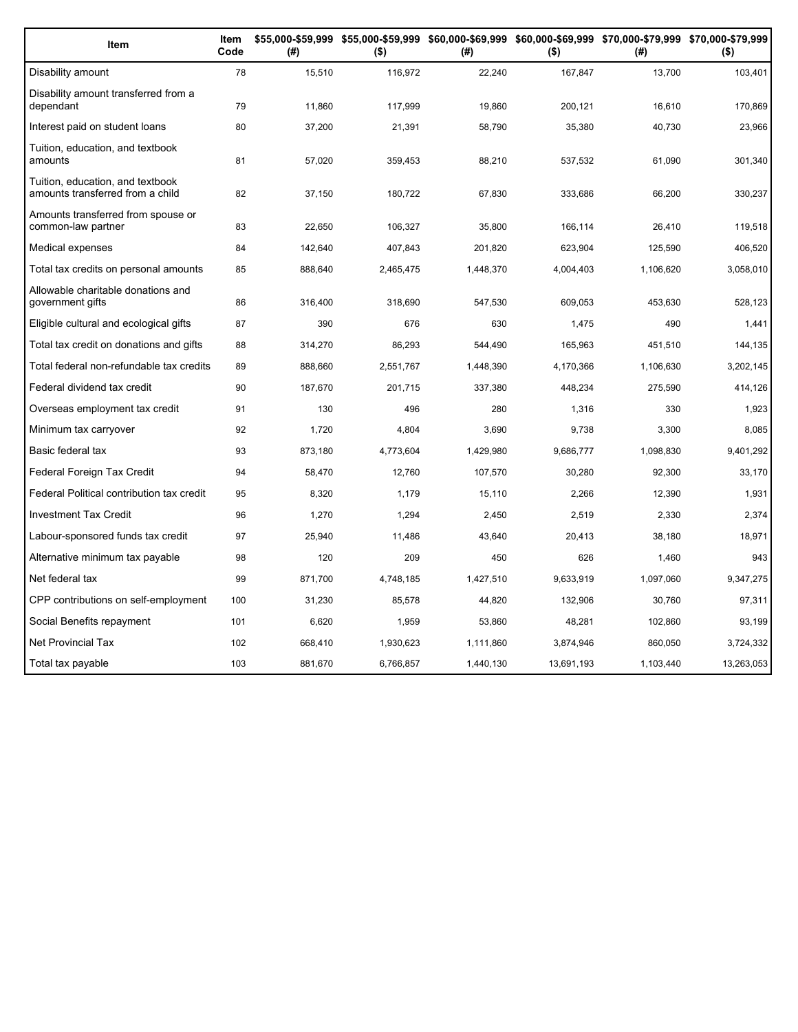| Item                                                                 | Item<br>Code | (#)     | $($ \$)   | (#)       | $($ \$)    | \$55,000-\$59,999 \$55,000-\$59,999 \$60,000-\$69,999 \$60,000-\$69,999 \$70,000-\$79,999 \$70,000-\$79,999<br>(#) | $($ \$)    |
|----------------------------------------------------------------------|--------------|---------|-----------|-----------|------------|--------------------------------------------------------------------------------------------------------------------|------------|
| Disability amount                                                    | 78           | 15,510  | 116,972   | 22,240    | 167,847    | 13,700                                                                                                             | 103,401    |
| Disability amount transferred from a<br>dependant                    | 79           | 11,860  | 117,999   | 19,860    | 200,121    | 16,610                                                                                                             | 170,869    |
| Interest paid on student loans                                       | 80           | 37,200  | 21,391    | 58,790    | 35,380     | 40,730                                                                                                             | 23,966     |
| Tuition, education, and textbook<br>amounts                          | 81           | 57,020  | 359,453   | 88,210    | 537,532    | 61,090                                                                                                             | 301,340    |
| Tuition, education, and textbook<br>amounts transferred from a child | 82           | 37,150  | 180,722   | 67,830    | 333,686    | 66,200                                                                                                             | 330,237    |
| Amounts transferred from spouse or<br>common-law partner             | 83           | 22,650  | 106,327   | 35,800    | 166,114    | 26,410                                                                                                             | 119,518    |
| Medical expenses                                                     | 84           | 142,640 | 407,843   | 201,820   | 623,904    | 125,590                                                                                                            | 406,520    |
| Total tax credits on personal amounts                                | 85           | 888,640 | 2,465,475 | 1,448,370 | 4,004,403  | 1,106,620                                                                                                          | 3,058,010  |
| Allowable charitable donations and<br>government gifts               | 86           | 316,400 | 318,690   | 547,530   | 609,053    | 453,630                                                                                                            | 528,123    |
| Eligible cultural and ecological gifts                               | 87           | 390     | 676       | 630       | 1,475      | 490                                                                                                                | 1,441      |
| Total tax credit on donations and gifts                              | 88           | 314,270 | 86,293    | 544,490   | 165.963    | 451,510                                                                                                            | 144,135    |
| Total federal non-refundable tax credits                             | 89           | 888,660 | 2,551,767 | 1,448,390 | 4,170,366  | 1,106,630                                                                                                          | 3,202,145  |
| Federal dividend tax credit                                          | 90           | 187,670 | 201,715   | 337,380   | 448,234    | 275,590                                                                                                            | 414,126    |
| Overseas employment tax credit                                       | 91           | 130     | 496       | 280       | 1,316      | 330                                                                                                                | 1,923      |
| Minimum tax carryover                                                | 92           | 1,720   | 4,804     | 3,690     | 9,738      | 3,300                                                                                                              | 8,085      |
| Basic federal tax                                                    | 93           | 873,180 | 4,773,604 | 1,429,980 | 9,686,777  | 1,098,830                                                                                                          | 9,401,292  |
| Federal Foreign Tax Credit                                           | 94           | 58,470  | 12,760    | 107,570   | 30,280     | 92,300                                                                                                             | 33,170     |
| Federal Political contribution tax credit                            | 95           | 8,320   | 1,179     | 15,110    | 2,266      | 12,390                                                                                                             | 1,931      |
| <b>Investment Tax Credit</b>                                         | 96           | 1,270   | 1,294     | 2,450     | 2,519      | 2,330                                                                                                              | 2,374      |
| Labour-sponsored funds tax credit                                    | 97           | 25,940  | 11,486    | 43,640    | 20,413     | 38,180                                                                                                             | 18,971     |
| Alternative minimum tax payable                                      | 98           | 120     | 209       | 450       | 626        | 1,460                                                                                                              | 943        |
| Net federal tax                                                      | 99           | 871,700 | 4,748,185 | 1,427,510 | 9,633,919  | 1,097,060                                                                                                          | 9,347,275  |
| CPP contributions on self-employment                                 | 100          | 31,230  | 85,578    | 44,820    | 132,906    | 30,760                                                                                                             | 97,311     |
| Social Benefits repayment                                            | 101          | 6,620   | 1,959     | 53,860    | 48,281     | 102,860                                                                                                            | 93,199     |
| Net Provincial Tax                                                   | 102          | 668,410 | 1,930,623 | 1,111,860 | 3,874,946  | 860,050                                                                                                            | 3,724,332  |
| Total tax payable                                                    | 103          | 881,670 | 6,766,857 | 1,440,130 | 13,691,193 | 1,103,440                                                                                                          | 13,263,053 |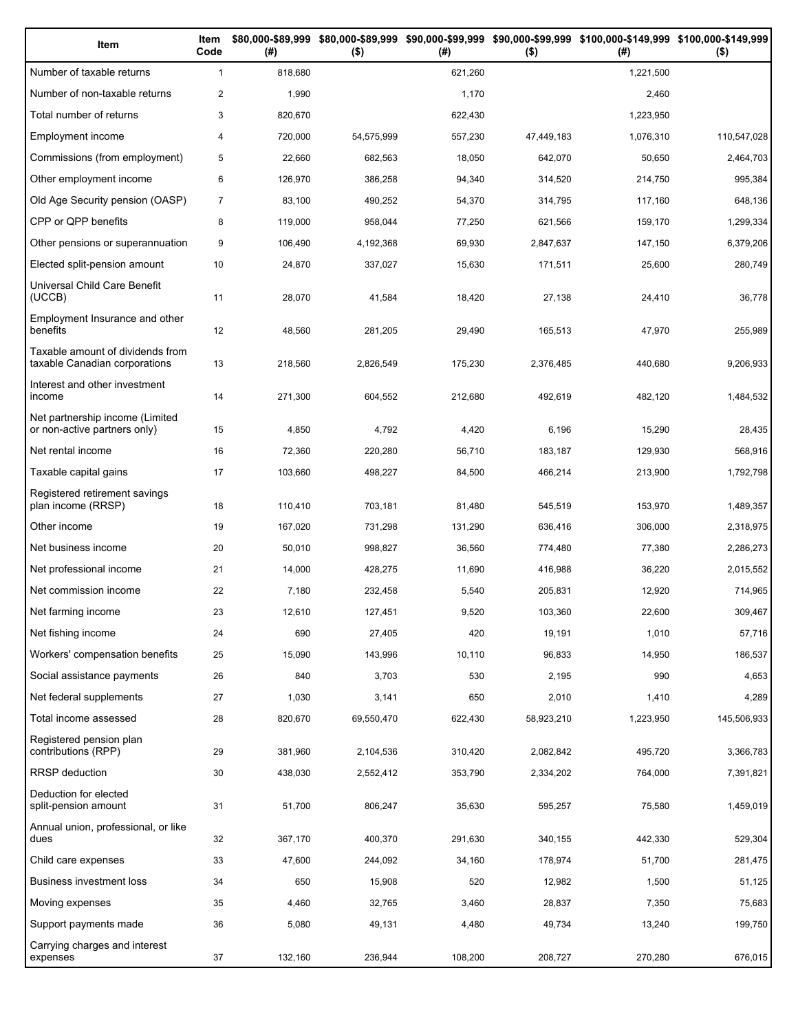| Item                                                              | Item<br>Code   | (# )    | $($ \$)    | (#)     | $($ \$)    | \$80,000-\$89,999 \$80,000-\$89,999 \$90,000-\$99,999 \$90,000-\$99,999 \$100,000-\$149,999 \$100,000-\$149,999<br>(#) | $($ \$)     |
|-------------------------------------------------------------------|----------------|---------|------------|---------|------------|------------------------------------------------------------------------------------------------------------------------|-------------|
| Number of taxable returns                                         | $\mathbf{1}$   | 818,680 |            | 621,260 |            | 1,221,500                                                                                                              |             |
| Number of non-taxable returns                                     | $\overline{2}$ | 1,990   |            | 1,170   |            | 2,460                                                                                                                  |             |
| Total number of returns                                           | 3              | 820,670 |            | 622,430 |            | 1,223,950                                                                                                              |             |
| Employment income                                                 | 4              | 720,000 | 54,575,999 | 557,230 | 47,449,183 | 1,076,310                                                                                                              | 110,547,028 |
| Commissions (from employment)                                     | 5              | 22,660  | 682,563    | 18,050  | 642,070    | 50,650                                                                                                                 | 2,464,703   |
| Other employment income                                           | 6              | 126,970 | 386,258    | 94,340  | 314,520    | 214,750                                                                                                                | 995,384     |
| Old Age Security pension (OASP)                                   | $\overline{7}$ | 83,100  | 490,252    | 54,370  | 314,795    | 117,160                                                                                                                | 648,136     |
| CPP or QPP benefits                                               | 8              | 119,000 | 958,044    | 77,250  | 621,566    | 159,170                                                                                                                | 1,299,334   |
| Other pensions or superannuation                                  | 9              | 106,490 | 4,192,368  | 69,930  | 2,847,637  | 147,150                                                                                                                | 6,379,206   |
| Elected split-pension amount                                      | 10             | 24,870  | 337,027    | 15,630  | 171,511    | 25,600                                                                                                                 | 280,749     |
| Universal Child Care Benefit<br>(UCCB)                            | 11             | 28,070  | 41,584     | 18,420  | 27,138     | 24,410                                                                                                                 | 36,778      |
| Employment Insurance and other<br>benefits                        | 12             | 48,560  | 281,205    | 29,490  | 165,513    | 47,970                                                                                                                 | 255,989     |
| Taxable amount of dividends from<br>taxable Canadian corporations | 13             | 218,560 | 2,826,549  | 175,230 | 2.376.485  | 440,680                                                                                                                | 9,206,933   |
| Interest and other investment<br>income                           | 14             | 271,300 | 604,552    | 212,680 | 492,619    | 482,120                                                                                                                | 1,484,532   |
| Net partnership income (Limited<br>or non-active partners only)   | 15             | 4,850   | 4,792      | 4,420   | 6,196      | 15,290                                                                                                                 | 28,435      |
| Net rental income                                                 | 16             | 72,360  | 220,280    | 56,710  | 183,187    | 129,930                                                                                                                | 568,916     |
| Taxable capital gains                                             | 17             | 103,660 | 498,227    | 84,500  | 466,214    | 213,900                                                                                                                | 1,792,798   |
| Registered retirement savings<br>plan income (RRSP)               | 18             | 110,410 | 703,181    | 81,480  | 545,519    | 153,970                                                                                                                | 1,489,357   |
| Other income                                                      | 19             | 167,020 | 731,298    | 131,290 | 636,416    | 306,000                                                                                                                | 2,318,975   |
| Net business income                                               | 20             | 50,010  | 998,827    | 36,560  | 774,480    | 77,380                                                                                                                 | 2,286,273   |
| Net professional income                                           | 21             | 14,000  | 428,275    | 11,690  | 416,988    | 36,220                                                                                                                 | 2,015,552   |
| Net commission income                                             | 22             | 7,180   | 232,458    | 5,540   | 205,831    | 12,920                                                                                                                 | 714,965     |
| Net farming income                                                | 23             | 12,610  | 127,451    | 9,520   | 103,360    | 22,600                                                                                                                 | 309,467     |
| Net fishing income                                                | 24             | 690     | 27,405     | 420     | 19,191     | 1,010                                                                                                                  | 57,716      |
| Workers' compensation benefits                                    | 25             | 15,090  | 143,996    | 10,110  | 96,833     | 14,950                                                                                                                 | 186,537     |
| Social assistance payments                                        | 26             | 840     | 3,703      | 530     | 2,195      | 990                                                                                                                    | 4,653       |
| Net federal supplements                                           | 27             | 1,030   | 3,141      | 650     | 2,010      | 1,410                                                                                                                  | 4,289       |
| Total income assessed                                             | 28             | 820,670 | 69,550,470 | 622,430 | 58,923,210 | 1,223,950                                                                                                              | 145,506,933 |
| Registered pension plan<br>contributions (RPP)                    | 29             | 381,960 | 2,104,536  | 310,420 | 2,082,842  | 495,720                                                                                                                | 3,366,783   |
| <b>RRSP</b> deduction                                             | 30             | 438,030 | 2,552,412  | 353,790 | 2,334,202  | 764,000                                                                                                                | 7,391,821   |
| Deduction for elected<br>split-pension amount                     | 31             | 51,700  | 806,247    | 35,630  | 595,257    | 75,580                                                                                                                 | 1,459,019   |
| Annual union, professional, or like<br>dues                       | 32             | 367,170 | 400,370    | 291,630 | 340,155    | 442,330                                                                                                                | 529,304     |
| Child care expenses                                               | 33             | 47,600  | 244,092    | 34,160  | 178,974    | 51,700                                                                                                                 | 281,475     |
| Business investment loss                                          | 34             | 650     | 15,908     | 520     | 12,982     | 1,500                                                                                                                  | 51,125      |
| Moving expenses                                                   | 35             | 4,460   | 32,765     | 3,460   | 28,837     | 7,350                                                                                                                  | 75,683      |
| Support payments made                                             | 36             | 5,080   | 49,131     | 4,480   | 49,734     | 13,240                                                                                                                 | 199,750     |
| Carrying charges and interest<br>expenses                         | 37             | 132,160 | 236,944    | 108,200 | 208,727    | 270,280                                                                                                                | 676,015     |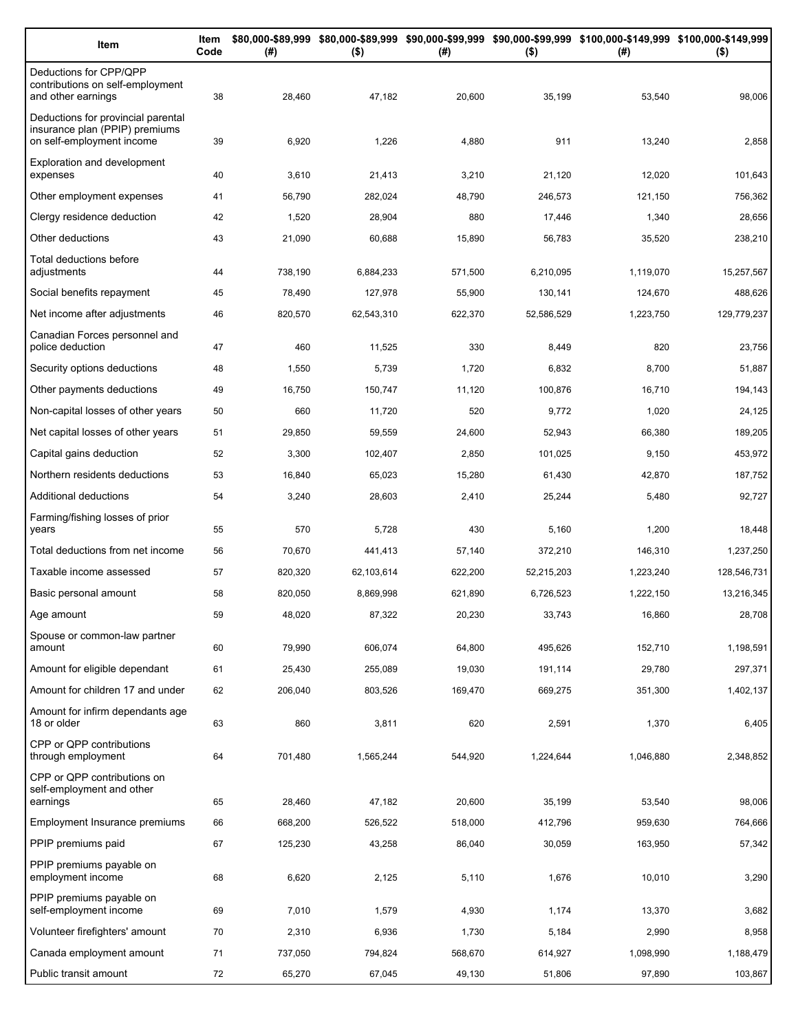| Item                                                                                              | Item<br>Code | (# )    | $($ \$)    | (#)     | $($ \$)    | \$80,000-\$89,999 \$80,000-\$89,999 \$90,000-\$99,999 \$90,000-\$99,999 \$100,000-\$149,999 \$100,000-\$149,999<br>(#) | $($ \$)     |
|---------------------------------------------------------------------------------------------------|--------------|---------|------------|---------|------------|------------------------------------------------------------------------------------------------------------------------|-------------|
| Deductions for CPP/QPP<br>contributions on self-employment<br>and other earnings                  | 38           | 28,460  | 47,182     | 20,600  | 35,199     | 53,540                                                                                                                 | 98,006      |
| Deductions for provincial parental<br>insurance plan (PPIP) premiums<br>on self-employment income | 39           | 6,920   | 1,226      | 4,880   | 911        | 13,240                                                                                                                 | 2,858       |
| <b>Exploration and development</b><br>expenses                                                    | 40           | 3,610   | 21,413     | 3,210   | 21,120     | 12,020                                                                                                                 | 101,643     |
| Other employment expenses                                                                         | 41           | 56,790  | 282,024    | 48,790  | 246,573    | 121,150                                                                                                                | 756,362     |
| Clergy residence deduction                                                                        | 42           | 1,520   | 28,904     | 880     | 17,446     | 1,340                                                                                                                  | 28,656      |
| Other deductions                                                                                  | 43           | 21,090  | 60,688     | 15,890  | 56,783     | 35,520                                                                                                                 | 238,210     |
| Total deductions before<br>adjustments                                                            | 44           | 738,190 | 6,884,233  | 571,500 | 6,210,095  | 1,119,070                                                                                                              | 15,257,567  |
| Social benefits repayment                                                                         | 45           | 78,490  | 127,978    | 55,900  | 130,141    | 124,670                                                                                                                | 488,626     |
| Net income after adjustments                                                                      | 46           | 820,570 | 62,543,310 | 622,370 | 52,586,529 | 1,223,750                                                                                                              | 129,779,237 |
| Canadian Forces personnel and<br>police deduction                                                 | 47           | 460     | 11,525     | 330     | 8,449      | 820                                                                                                                    | 23,756      |
| Security options deductions                                                                       | 48           | 1,550   | 5,739      | 1,720   | 6,832      | 8,700                                                                                                                  | 51,887      |
| Other payments deductions                                                                         | 49           | 16,750  | 150,747    | 11,120  | 100,876    | 16,710                                                                                                                 | 194,143     |
| Non-capital losses of other years                                                                 | 50           | 660     | 11,720     | 520     | 9,772      | 1,020                                                                                                                  | 24,125      |
| Net capital losses of other years                                                                 | 51           | 29,850  | 59,559     | 24,600  | 52,943     | 66,380                                                                                                                 | 189,205     |
| Capital gains deduction                                                                           | 52           | 3,300   | 102,407    | 2,850   | 101,025    | 9,150                                                                                                                  | 453,972     |
| Northern residents deductions                                                                     | 53           | 16,840  | 65,023     | 15,280  | 61,430     | 42,870                                                                                                                 | 187,752     |
| Additional deductions                                                                             | 54           | 3,240   | 28,603     | 2,410   | 25,244     | 5,480                                                                                                                  | 92,727      |
| Farming/fishing losses of prior<br>years                                                          | 55           | 570     | 5,728      | 430     | 5,160      | 1,200                                                                                                                  | 18,448      |
| Total deductions from net income                                                                  | 56           | 70,670  | 441,413    | 57,140  | 372,210    | 146,310                                                                                                                | 1,237,250   |
| Taxable income assessed                                                                           | 57           | 820,320 | 62,103,614 | 622,200 | 52,215,203 | 1,223,240                                                                                                              | 128,546,731 |
| Basic personal amount                                                                             | 58           | 820,050 | 8,869,998  | 621,890 | 6,726,523  | 1,222,150                                                                                                              | 13,216,345  |
| Age amount                                                                                        | 59           | 48,020  | 87,322     | 20,230  | 33,743     | 16,860                                                                                                                 | 28,708      |
| Spouse or common-law partner<br>amount                                                            | 60           | 79,990  | 606,074    | 64,800  | 495,626    | 152,710                                                                                                                | 1,198,591   |
| Amount for eligible dependant                                                                     | 61           | 25,430  | 255,089    | 19,030  | 191,114    | 29,780                                                                                                                 | 297,371     |
| Amount for children 17 and under                                                                  | 62           | 206,040 | 803,526    | 169,470 | 669,275    | 351,300                                                                                                                | 1,402,137   |
| Amount for infirm dependants age<br>18 or older                                                   | 63           | 860     | 3,811      | 620     | 2,591      | 1,370                                                                                                                  | 6,405       |
| CPP or QPP contributions<br>through employment                                                    | 64           | 701,480 | 1,565,244  | 544,920 | 1,224,644  | 1,046,880                                                                                                              | 2,348,852   |
| CPP or QPP contributions on<br>self-employment and other                                          |              |         |            |         |            |                                                                                                                        |             |
| earnings                                                                                          | 65           | 28,460  | 47,182     | 20,600  | 35,199     | 53,540                                                                                                                 | 98,006      |
| Employment Insurance premiums                                                                     | 66           | 668,200 | 526,522    | 518,000 | 412,796    | 959,630                                                                                                                | 764,666     |
| PPIP premiums paid                                                                                | 67           | 125,230 | 43,258     | 86,040  | 30,059     | 163,950                                                                                                                | 57,342      |
| PPIP premiums payable on<br>employment income                                                     | 68           | 6,620   | 2,125      | 5,110   | 1,676      | 10,010                                                                                                                 | 3,290       |
| PPIP premiums payable on<br>self-employment income                                                | 69           | 7,010   | 1,579      | 4,930   | 1,174      | 13,370                                                                                                                 | 3,682       |
| Volunteer firefighters' amount                                                                    | 70           | 2,310   | 6,936      | 1,730   | 5,184      | 2,990                                                                                                                  | 8,958       |
| Canada employment amount                                                                          | 71           | 737,050 | 794,824    | 568,670 | 614,927    | 1,098,990                                                                                                              | 1,188,479   |
| Public transit amount                                                                             | 72           | 65,270  | 67,045     | 49,130  | 51,806     | 97,890                                                                                                                 | 103,867     |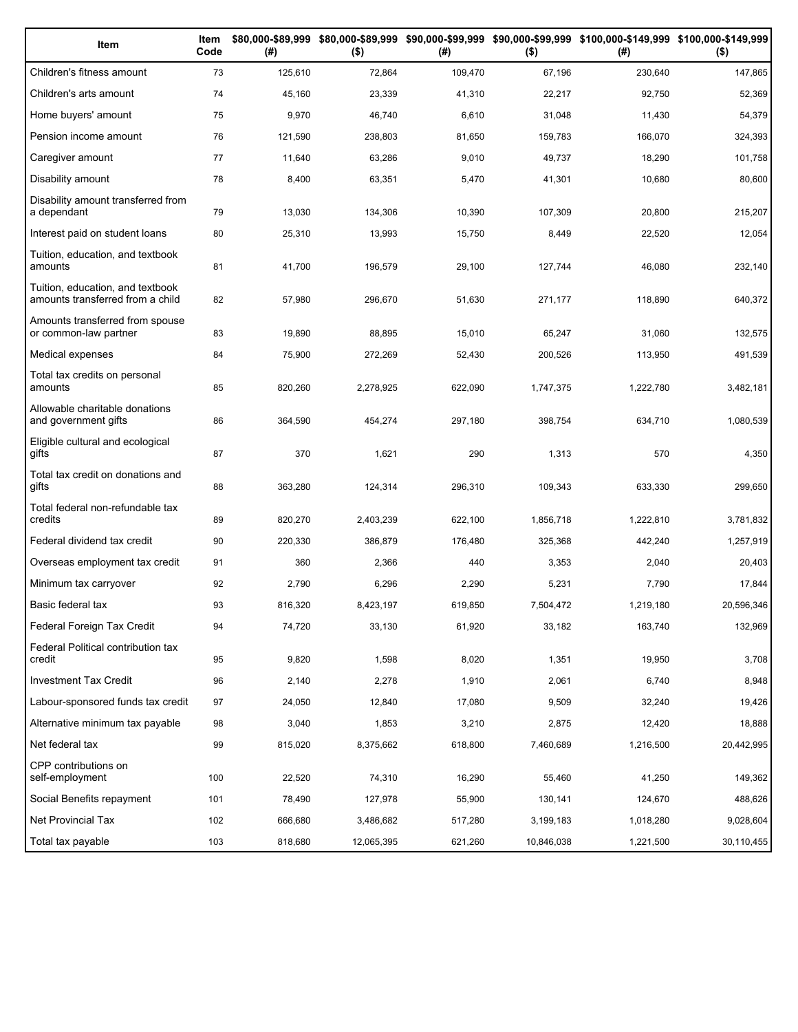| Item                                                                 | Item<br>Code | (# )    | $($ \$)    | (#)     | $($ \$)    | \$80,000-\$89,999 \$80,000-\$89,999 \$90,000-\$99,999 \$90,000-\$99,999 \$100,000-\$149,999 \$100,000-\$149,999<br>(#) | $($ \$)    |
|----------------------------------------------------------------------|--------------|---------|------------|---------|------------|------------------------------------------------------------------------------------------------------------------------|------------|
| Children's fitness amount                                            | 73           | 125,610 | 72,864     | 109,470 | 67,196     | 230,640                                                                                                                | 147,865    |
| Children's arts amount                                               | 74           | 45,160  | 23,339     | 41,310  | 22,217     | 92,750                                                                                                                 | 52,369     |
| Home buyers' amount                                                  | 75           | 9,970   | 46,740     | 6,610   | 31,048     | 11,430                                                                                                                 | 54,379     |
| Pension income amount                                                | 76           | 121,590 | 238,803    | 81,650  | 159,783    | 166,070                                                                                                                | 324,393    |
| Caregiver amount                                                     | 77           | 11,640  | 63,286     | 9,010   | 49,737     | 18,290                                                                                                                 | 101,758    |
| Disability amount                                                    | 78           | 8,400   | 63,351     | 5,470   | 41,301     | 10,680                                                                                                                 | 80,600     |
| Disability amount transferred from<br>a dependant                    | 79           | 13,030  | 134,306    | 10,390  | 107,309    | 20,800                                                                                                                 | 215,207    |
| Interest paid on student loans                                       | 80           | 25,310  | 13,993     | 15,750  | 8,449      | 22,520                                                                                                                 | 12,054     |
| Tuition, education, and textbook<br>amounts                          | 81           | 41,700  | 196,579    | 29,100  | 127,744    | 46,080                                                                                                                 | 232,140    |
| Tuition, education, and textbook<br>amounts transferred from a child | 82           | 57,980  | 296,670    | 51,630  | 271,177    | 118,890                                                                                                                | 640,372    |
| Amounts transferred from spouse<br>or common-law partner             | 83           | 19,890  | 88,895     | 15,010  | 65,247     | 31,060                                                                                                                 | 132,575    |
| Medical expenses                                                     | 84           | 75,900  | 272,269    | 52,430  | 200,526    | 113,950                                                                                                                | 491,539    |
| Total tax credits on personal<br>amounts                             | 85           | 820,260 | 2,278,925  | 622,090 | 1,747,375  | 1,222,780                                                                                                              | 3,482,181  |
| Allowable charitable donations<br>and government gifts               | 86           | 364,590 | 454,274    | 297,180 | 398,754    | 634,710                                                                                                                | 1,080,539  |
| Eligible cultural and ecological<br>gifts                            | 87           | 370     | 1,621      | 290     | 1,313      | 570                                                                                                                    | 4,350      |
| Total tax credit on donations and<br>gifts                           | 88           | 363,280 | 124,314    | 296,310 | 109,343    | 633,330                                                                                                                | 299,650    |
| Total federal non-refundable tax<br>credits                          | 89           | 820,270 | 2,403,239  | 622,100 | 1,856,718  | 1,222,810                                                                                                              | 3,781,832  |
| Federal dividend tax credit                                          | 90           | 220,330 | 386,879    | 176,480 | 325,368    | 442,240                                                                                                                | 1,257,919  |
| Overseas employment tax credit                                       | 91           | 360     | 2,366      | 440     | 3,353      | 2,040                                                                                                                  | 20,403     |
| Minimum tax carryover                                                | 92           | 2,790   | 6,296      | 2,290   | 5,231      | 7,790                                                                                                                  | 17,844     |
| Basic federal tax                                                    | 93           | 816,320 | 8,423,197  | 619,850 | 7,504,472  | 1,219,180                                                                                                              | 20,596,346 |
| Federal Foreign Tax Credit                                           | 94           | 74,720  | 33,130     | 61,920  | 33,182     | 163,740                                                                                                                | 132,969    |
| Federal Political contribution tax<br>credit                         | 95           | 9,820   | 1,598      | 8,020   | 1,351      | 19,950                                                                                                                 | 3,708      |
| <b>Investment Tax Credit</b>                                         | 96           | 2,140   | 2,278      | 1,910   | 2,061      | 6,740                                                                                                                  | 8,948      |
| Labour-sponsored funds tax credit                                    | 97           | 24,050  | 12,840     | 17,080  | 9,509      | 32,240                                                                                                                 | 19,426     |
| Alternative minimum tax payable                                      | 98           | 3,040   | 1,853      | 3,210   | 2,875      | 12,420                                                                                                                 | 18,888     |
| Net federal tax                                                      | 99           | 815,020 | 8,375,662  | 618,800 | 7,460,689  | 1,216,500                                                                                                              | 20,442,995 |
| CPP contributions on<br>self-employment                              | 100          | 22,520  | 74,310     | 16,290  | 55,460     | 41,250                                                                                                                 | 149,362    |
| Social Benefits repayment                                            | 101          | 78,490  | 127,978    | 55,900  | 130,141    | 124,670                                                                                                                | 488,626    |
| Net Provincial Tax                                                   | 102          | 666,680 | 3,486,682  | 517,280 | 3,199,183  | 1,018,280                                                                                                              | 9,028,604  |
| Total tax payable                                                    | 103          | 818,680 | 12,065,395 | 621,260 | 10,846,038 | 1,221,500                                                                                                              | 30,110,455 |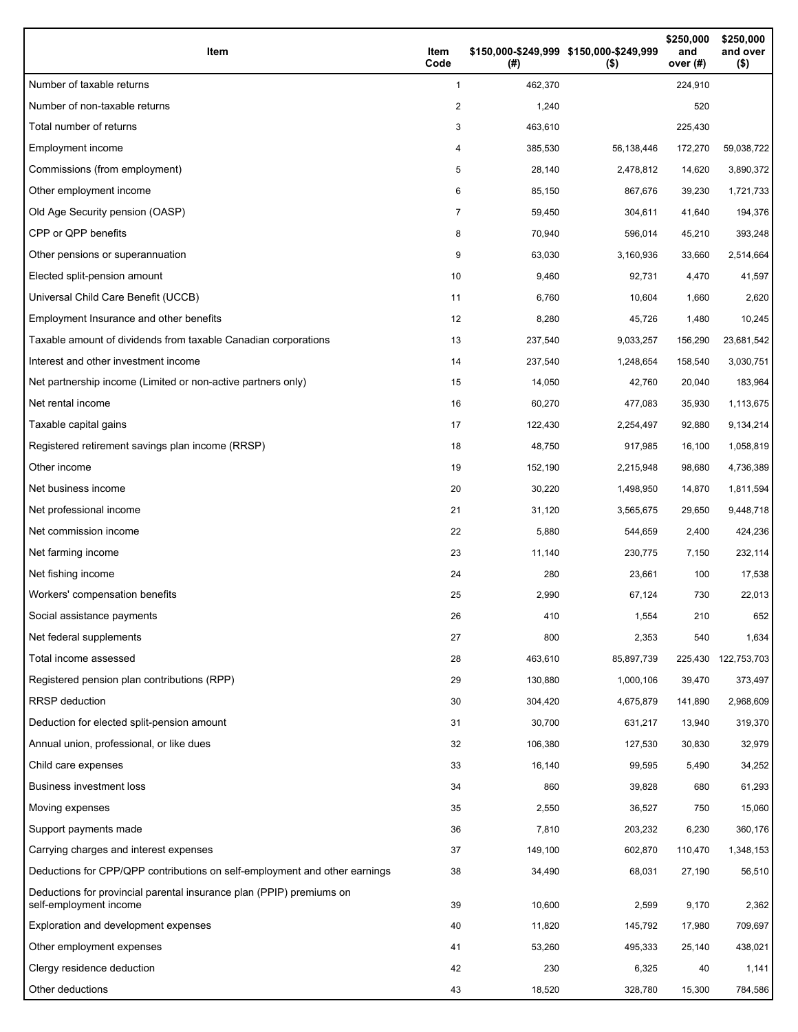| Item                                                                                           | Item<br>Code | \$150,000-\$249,999 \$150,000-\$249,999<br>(# ) | $($ \$)    | \$250,000<br>and<br>over $(#)$ | \$250,000<br>and over<br>$($ \$) |
|------------------------------------------------------------------------------------------------|--------------|-------------------------------------------------|------------|--------------------------------|----------------------------------|
| Number of taxable returns                                                                      | $\mathbf{1}$ | 462,370                                         |            | 224,910                        |                                  |
| Number of non-taxable returns                                                                  | 2            | 1,240                                           |            | 520                            |                                  |
| Total number of returns                                                                        | 3            | 463,610                                         |            | 225,430                        |                                  |
| Employment income                                                                              | 4            | 385,530                                         | 56,138,446 | 172,270                        | 59,038,722                       |
| Commissions (from employment)                                                                  | 5            | 28,140                                          | 2,478,812  | 14,620                         | 3,890,372                        |
| Other employment income                                                                        | 6            | 85,150                                          | 867,676    | 39,230                         | 1,721,733                        |
| Old Age Security pension (OASP)                                                                | 7            | 59,450                                          | 304,611    | 41,640                         | 194,376                          |
| CPP or QPP benefits                                                                            | 8            | 70,940                                          | 596,014    | 45,210                         | 393,248                          |
| Other pensions or superannuation                                                               | 9            | 63,030                                          | 3,160,936  | 33,660                         | 2,514,664                        |
| Elected split-pension amount                                                                   | 10           | 9,460                                           | 92,731     | 4,470                          | 41,597                           |
| Universal Child Care Benefit (UCCB)                                                            | 11           | 6,760                                           | 10,604     | 1,660                          | 2,620                            |
| Employment Insurance and other benefits                                                        | 12           | 8,280                                           | 45,726     | 1,480                          | 10,245                           |
| Taxable amount of dividends from taxable Canadian corporations                                 | 13           | 237,540                                         | 9,033,257  | 156,290                        | 23,681,542                       |
| Interest and other investment income                                                           | 14           | 237,540                                         | 1,248,654  | 158,540                        | 3,030,751                        |
| Net partnership income (Limited or non-active partners only)                                   | 15           | 14,050                                          | 42,760     | 20,040                         | 183,964                          |
| Net rental income                                                                              | 16           | 60,270                                          | 477,083    | 35,930                         | 1,113,675                        |
| Taxable capital gains                                                                          | 17           | 122,430                                         | 2,254,497  | 92,880                         | 9,134,214                        |
| Registered retirement savings plan income (RRSP)                                               | 18           | 48,750                                          | 917,985    | 16,100                         | 1,058,819                        |
| Other income                                                                                   | 19           | 152,190                                         | 2,215,948  | 98,680                         | 4,736,389                        |
| Net business income                                                                            | 20           | 30,220                                          | 1,498,950  | 14,870                         | 1,811,594                        |
| Net professional income                                                                        | 21           | 31,120                                          | 3,565,675  | 29,650                         | 9,448,718                        |
| Net commission income                                                                          | 22           | 5,880                                           | 544,659    | 2,400                          | 424,236                          |
| Net farming income                                                                             | 23           | 11,140                                          | 230,775    | 7,150                          | 232,114                          |
| Net fishing income                                                                             | 24           | 280                                             | 23,661     | 100                            | 17,538                           |
| Workers' compensation benefits                                                                 | 25           | 2,990                                           | 67,124     | 730                            | 22,013                           |
| Social assistance payments                                                                     | 26           | 410                                             | 1,554      | 210                            | 652                              |
| Net federal supplements                                                                        | 27           | 800                                             | 2,353      | 540                            | 1,634                            |
| Total income assessed                                                                          | 28           | 463,610                                         | 85,897,739 | 225,430                        | 122,753,703                      |
| Registered pension plan contributions (RPP)                                                    | 29           | 130,880                                         | 1,000,106  | 39,470                         | 373,497                          |
| RRSP deduction                                                                                 | 30           | 304,420                                         | 4,675,879  | 141,890                        | 2,968,609                        |
| Deduction for elected split-pension amount                                                     | 31           | 30,700                                          | 631,217    | 13,940                         | 319,370                          |
| Annual union, professional, or like dues                                                       | 32           | 106,380                                         | 127,530    | 30,830                         | 32,979                           |
| Child care expenses                                                                            | 33           | 16,140                                          | 99,595     | 5,490                          | 34,252                           |
| <b>Business investment loss</b>                                                                | 34           | 860                                             | 39,828     | 680                            | 61,293                           |
| Moving expenses                                                                                | 35           | 2,550                                           | 36,527     | 750                            | 15,060                           |
| Support payments made                                                                          | 36           | 7,810                                           | 203,232    | 6,230                          | 360,176                          |
| Carrying charges and interest expenses                                                         | 37           | 149,100                                         | 602,870    | 110,470                        | 1,348,153                        |
| Deductions for CPP/QPP contributions on self-employment and other earnings                     | 38           | 34,490                                          | 68,031     | 27,190                         | 56,510                           |
| Deductions for provincial parental insurance plan (PPIP) premiums on<br>self-employment income | 39           | 10,600                                          | 2,599      | 9,170                          | 2,362                            |
| Exploration and development expenses                                                           | 40           | 11,820                                          | 145,792    | 17,980                         | 709,697                          |
| Other employment expenses                                                                      | 41           | 53,260                                          | 495,333    | 25,140                         | 438,021                          |
| Clergy residence deduction                                                                     | 42           | 230                                             | 6,325      | 40                             | 1,141                            |
| Other deductions                                                                               | 43           | 18,520                                          | 328,780    | 15,300                         | 784,586                          |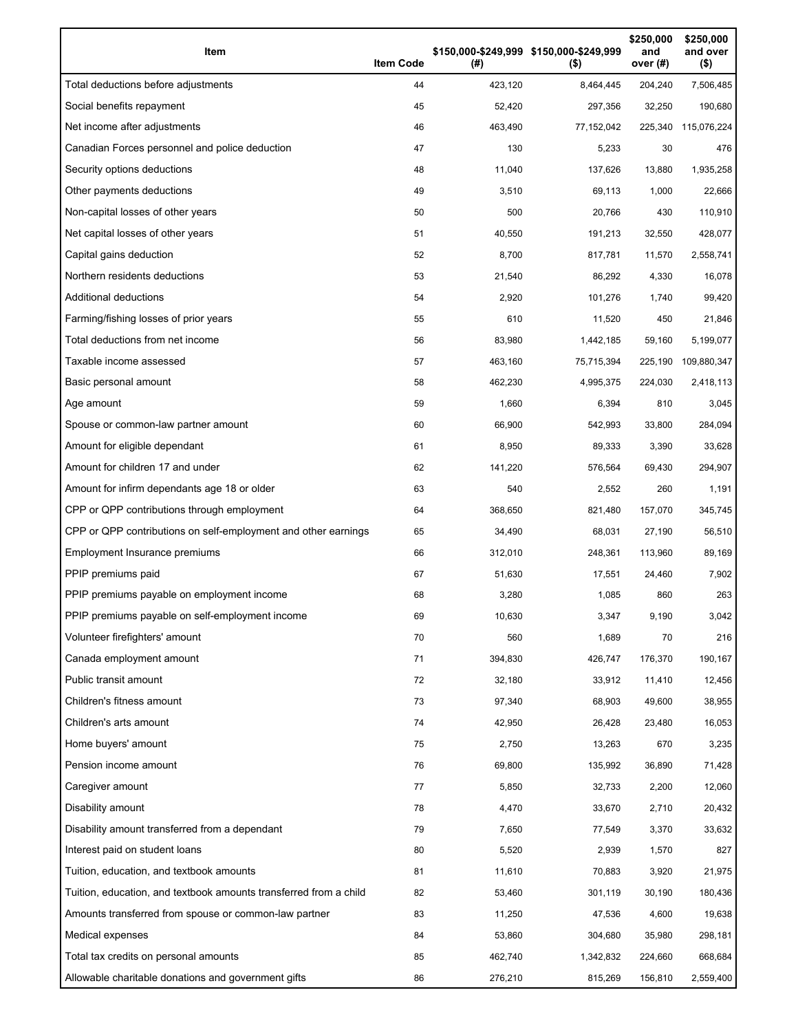| Item                                                              | <b>Item Code</b> | (# )    | \$150,000-\$249,999 \$150,000-\$249,999<br>$($ \$) | \$250,000<br>and<br>over $(#)$ | \$250,000<br>and over<br>$($ \$) |
|-------------------------------------------------------------------|------------------|---------|----------------------------------------------------|--------------------------------|----------------------------------|
| Total deductions before adjustments                               | 44               | 423,120 | 8,464,445                                          | 204,240                        | 7,506,485                        |
| Social benefits repayment                                         | 45               | 52,420  | 297,356                                            | 32,250                         | 190,680                          |
| Net income after adjustments                                      | 46               | 463,490 | 77,152,042                                         | 225,340                        | 115,076,224                      |
| Canadian Forces personnel and police deduction                    | 47               | 130     | 5,233                                              | 30                             | 476                              |
| Security options deductions                                       | 48               | 11,040  | 137,626                                            | 13,880                         | 1,935,258                        |
| Other payments deductions                                         | 49               | 3,510   | 69,113                                             | 1,000                          | 22,666                           |
| Non-capital losses of other years                                 | 50               | 500     | 20,766                                             | 430                            | 110,910                          |
| Net capital losses of other years                                 | 51               | 40,550  | 191,213                                            | 32,550                         | 428,077                          |
| Capital gains deduction                                           | 52               | 8,700   | 817,781                                            | 11,570                         | 2,558,741                        |
| Northern residents deductions                                     | 53               | 21,540  | 86,292                                             | 4,330                          | 16,078                           |
| Additional deductions                                             | 54               | 2,920   | 101,276                                            | 1,740                          | 99,420                           |
| Farming/fishing losses of prior years                             | 55               | 610     | 11,520                                             | 450                            | 21,846                           |
| Total deductions from net income                                  | 56               | 83,980  | 1,442,185                                          | 59,160                         | 5,199,077                        |
| Taxable income assessed                                           | 57               | 463,160 | 75,715,394                                         | 225,190                        | 109,880,347                      |
| Basic personal amount                                             | 58               | 462.230 | 4,995,375                                          | 224,030                        | 2,418,113                        |
| Age amount                                                        | 59               | 1,660   | 6,394                                              | 810                            | 3,045                            |
| Spouse or common-law partner amount                               | 60               | 66,900  | 542,993                                            | 33,800                         | 284,094                          |
| Amount for eligible dependant                                     | 61               | 8,950   | 89,333                                             | 3,390                          | 33,628                           |
| Amount for children 17 and under                                  | 62               | 141,220 | 576,564                                            | 69,430                         | 294,907                          |
| Amount for infirm dependants age 18 or older                      | 63               | 540     | 2,552                                              | 260                            | 1,191                            |
| CPP or QPP contributions through employment                       | 64               | 368,650 | 821,480                                            | 157,070                        | 345,745                          |
| CPP or QPP contributions on self-employment and other earnings    | 65               | 34,490  | 68,031                                             | 27,190                         | 56,510                           |
| Employment Insurance premiums                                     | 66               | 312,010 | 248,361                                            | 113,960                        | 89,169                           |
| PPIP premiums paid                                                | 67               | 51,630  | 17,551                                             | 24,460                         | 7,902                            |
| PPIP premiums payable on employment income                        | 68               | 3,280   | 1,085                                              | 860                            | 263                              |
| PPIP premiums payable on self-employment income                   | 69               | 10,630  | 3,347                                              | 9,190                          | 3,042                            |
| Volunteer firefighters' amount                                    | 70               | 560     | 1,689                                              | 70                             | 216                              |
| Canada employment amount                                          | 71               | 394,830 | 426,747                                            | 176,370                        | 190,167                          |
| Public transit amount                                             | 72               | 32,180  | 33,912                                             | 11,410                         | 12,456                           |
| Children's fitness amount                                         | 73               | 97,340  | 68,903                                             | 49,600                         | 38,955                           |
| Children's arts amount                                            | 74               | 42,950  | 26,428                                             | 23,480                         | 16,053                           |
| Home buyers' amount                                               | 75               | 2,750   | 13,263                                             | 670                            | 3,235                            |
| Pension income amount                                             | 76               | 69,800  | 135,992                                            | 36,890                         | 71,428                           |
| Caregiver amount                                                  | 77               | 5,850   | 32,733                                             | 2,200                          | 12,060                           |
| Disability amount                                                 | 78               | 4,470   | 33,670                                             | 2,710                          | 20,432                           |
| Disability amount transferred from a dependant                    | 79               | 7,650   | 77,549                                             | 3,370                          | 33,632                           |
| Interest paid on student loans                                    | 80               | 5,520   | 2,939                                              | 1,570                          | 827                              |
| Tuition, education, and textbook amounts                          | 81               | 11,610  | 70,883                                             | 3,920                          | 21,975                           |
| Tuition, education, and textbook amounts transferred from a child | 82               | 53,460  | 301,119                                            | 30,190                         | 180,436                          |
| Amounts transferred from spouse or common-law partner             | 83               | 11,250  | 47,536                                             | 4,600                          | 19,638                           |
| Medical expenses                                                  | 84               | 53,860  | 304,680                                            | 35,980                         | 298,181                          |
| Total tax credits on personal amounts                             | 85               | 462,740 | 1,342,832                                          | 224,660                        | 668,684                          |
| Allowable charitable donations and government gifts               | 86               | 276,210 | 815,269                                            | 156,810                        | 2,559,400                        |